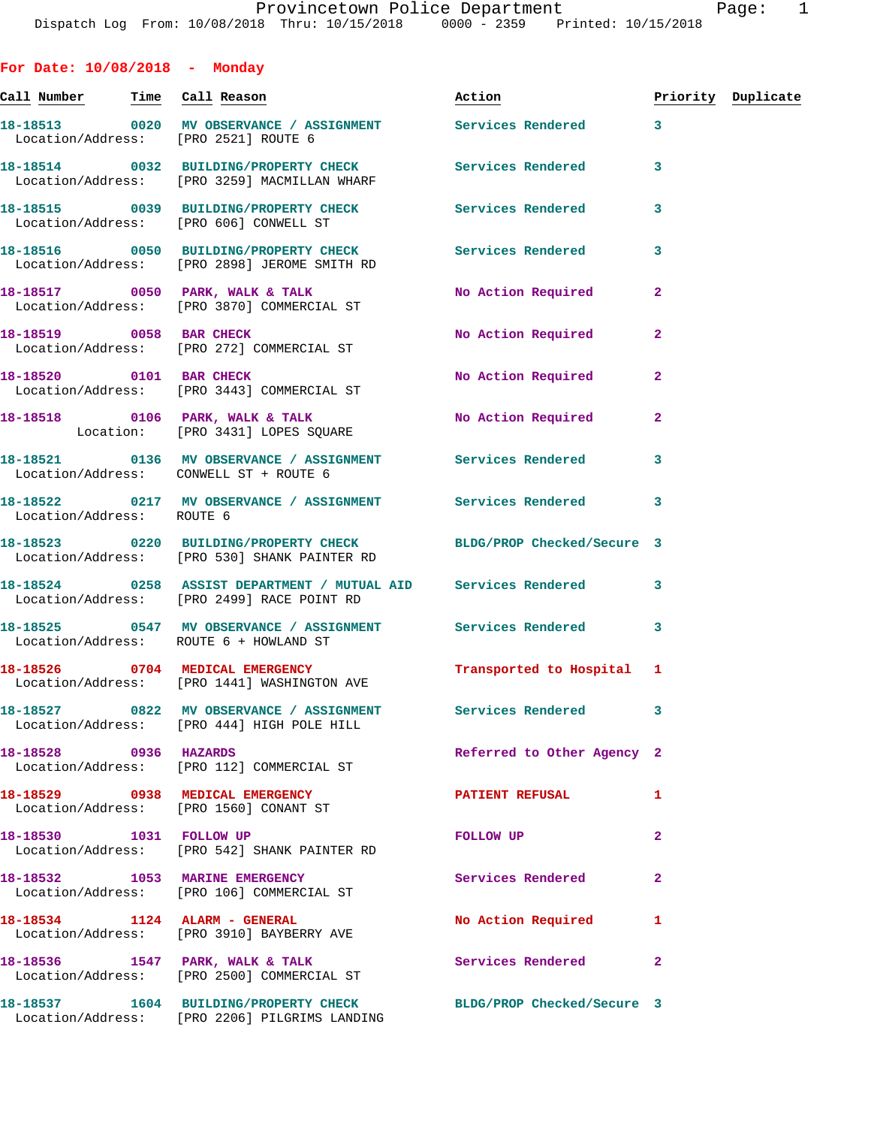**For Date: 10/08/2018 - Monday Call Number Time Call Reason Action Priority Duplicate 18-18513 0020 MV OBSERVANCE / ASSIGNMENT Services Rendered 3**  Location/Address: [PRO 2521] ROUTE 6 **18-18514 0032 BUILDING/PROPERTY CHECK Services Rendered 3**  Location/Address: [PRO 3259] MACMILLAN WHARF **18-18515 0039 BUILDING/PROPERTY CHECK Services Rendered 3**  Location/Address: [PRO 606] CONWELL ST **18-18516 0050 BUILDING/PROPERTY CHECK Services Rendered 3**  Location/Address: [PRO 2898] JEROME SMITH RD **18-18517 0050 PARK, WALK & TALK No Action Required 2**  Location/Address: [PRO 3870] COMMERCIAL ST **18-18519 0058 BAR CHECK No Action Required 2**  Location/Address: [PRO 272] COMMERCIAL ST 18-18520 0101 BAR CHECK No Required 2 Location/Address: [PRO 3443] COMMERCIAL ST 18-18518 **0106 PARK, WALK & TALK** No Action Required 2 Location: [PRO 3431] LOPES SQUARE **18-18521 0136 MV OBSERVANCE / ASSIGNMENT Services Rendered 3**  Location/Address: CONWELL ST + ROUTE 6 **18-18522 0217 MV OBSERVANCE / ASSIGNMENT Services Rendered 3**  Location/Address: ROUTE 6 **18-18523 0220 BUILDING/PROPERTY CHECK BLDG/PROP Checked/Secure 3**  Location/Address: [PRO 530] SHANK PAINTER RD **18-18524 0258 ASSIST DEPARTMENT / MUTUAL AID Services Rendered 3**  Location/Address: [PRO 2499] RACE POINT RD **18-18525 0547 MV OBSERVANCE / ASSIGNMENT Services Rendered 3**  Location/Address: ROUTE 6 + HOWLAND ST **18-18526 0704 MEDICAL EMERGENCY Transported to Hospital 1**  Location/Address: [PRO 1441] WASHINGTON AVE **18-18527 0822 MV OBSERVANCE / ASSIGNMENT Services Rendered 3**  Location/Address: [PRO 444] HIGH POLE HILL **18-18528 0936 HAZARDS Referred to Other Agency 2**  Location/Address: [PRO 112] COMMERCIAL ST **18-18529 0938 MEDICAL EMERGENCY PATIENT REFUSAL 1**  Location/Address: [PRO 1560] CONANT ST **18-18530 1031 FOLLOW UP FOLLOW UP 2**  Location/Address: [PRO 542] SHANK PAINTER RD **18-18532 1053 MARINE EMERGENCY Services Rendered 2**  Location/Address: [PRO 106] COMMERCIAL ST **18-18534 1124 ALARM - GENERAL No Action Required 1**  Location/Address: [PRO 3910] BAYBERRY AVE 18-18536 1547 PARK, WALK & TALK 18 Services Rendered 2 Location/Address: [PRO 2500] COMMERCIAL ST **18-18537 1604 BUILDING/PROPERTY CHECK BLDG/PROP Checked/Secure 3**  Location/Address: [PRO 2206] PILGRIMS LANDING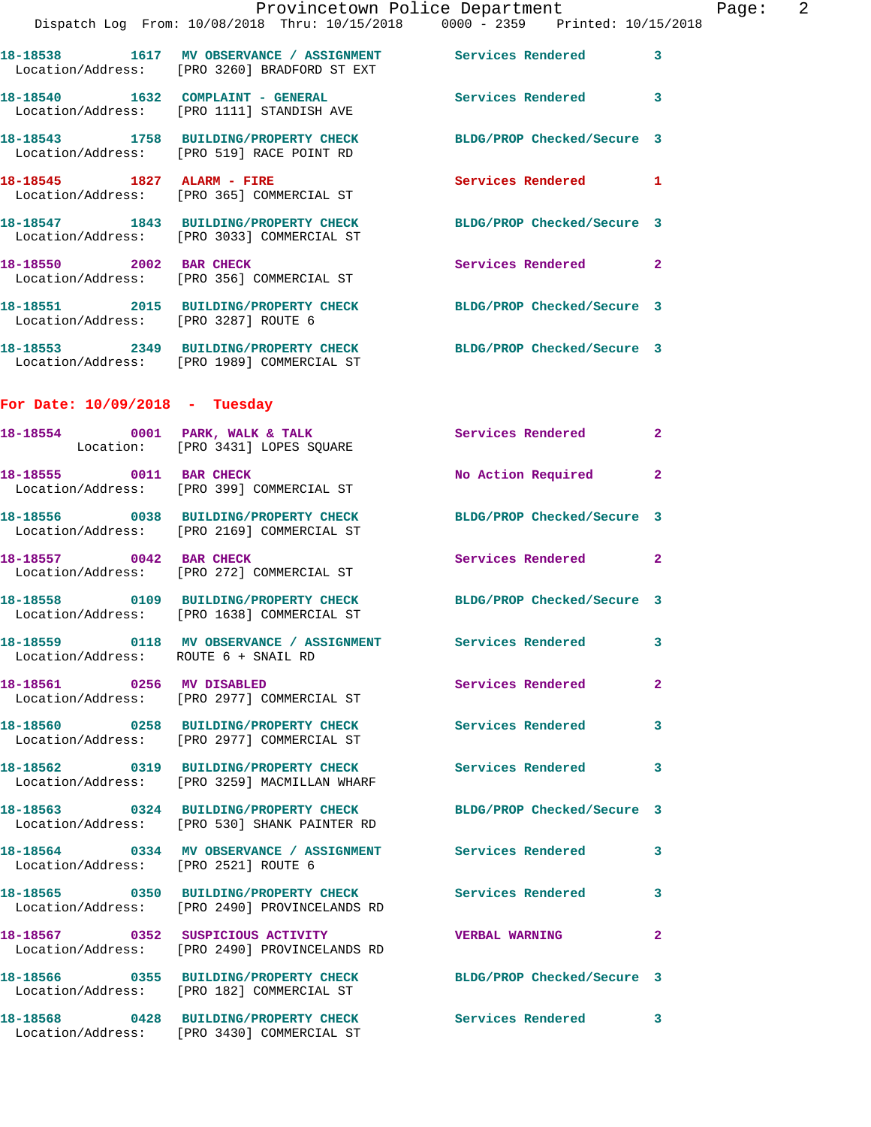|                                      | Dispatch Log From: 10/08/2018 Thru: 10/15/2018 0000 - 2359 Printed: 10/15/2018                                   | Provincetown Police Department | Page: 2      |
|--------------------------------------|------------------------------------------------------------------------------------------------------------------|--------------------------------|--------------|
|                                      | 18-18538 1617 MV OBSERVANCE / ASSIGNMENT Services Rendered 3<br>Location/Address: [PRO 3260] BRADFORD ST EXT     |                                |              |
|                                      | 18-18540 1632 COMPLAINT - GENERAL Services Rendered 3<br>Location/Address: [PRO 1111] STANDISH AVE               |                                |              |
|                                      | 18-18543 1758 BUILDING/PROPERTY CHECK BLDG/PROP Checked/Secure 3<br>Location/Address: [PRO 519] RACE POINT RD    |                                |              |
|                                      | 18-18545 1827 ALARM - FIRE<br>Location/Address: [PRO 365] COMMERCIAL ST                                          | Services Rendered 1            |              |
|                                      | 18-18547 1843 BUILDING/PROPERTY CHECK BLDG/PROP Checked/Secure 3<br>Location/Address: [PRO 3033] COMMERCIAL ST   |                                |              |
|                                      | 18-18550 2002 BAR CHECK<br>Location/Address: [PRO 356] COMMERCIAL ST                                             | Services Rendered 2            |              |
| Location/Address: [PRO 3287] ROUTE 6 | 18-18551 2015 BUILDING/PROPERTY CHECK BLDG/PROP Checked/Secure 3                                                 |                                |              |
|                                      | 18-18553 2349 BUILDING/PROPERTY CHECK BLDG/PROP Checked/Secure 3<br>Location/Address: [PRO 1989] COMMERCIAL ST   |                                |              |
| For Date: $10/09/2018$ - Tuesday     |                                                                                                                  |                                |              |
|                                      | 18-18554 0001 PARK, WALK & TALK 3 Services Rendered<br>Location: [PRO 3431] LOPES SQUARE                         |                                | $\mathbf{2}$ |
|                                      | 18-18555 0011 BAR CHECK<br>Location/Address: [PRO 399] COMMERCIAL ST                                             | No Action Required 2           |              |
|                                      | 18-18556 0038 BUILDING/PROPERTY CHECK BLDG/PROP Checked/Secure 3<br>Location/Address: [PRO 2169] COMMERCIAL ST   |                                |              |
| 18-18557 0042 BAR CHECK              | Location/Address: [PRO 272] COMMERCIAL ST                                                                        | Services Rendered 2            |              |
|                                      | 18-18558 0109 BUILDING/PROPERTY CHECK BLDG/PROP Checked/Secure 3<br>Location/Address: [PRO 1638] COMMERCIAL ST   |                                |              |
| Location/Address: ROUTE 6 + SNAIL RD | 18-18559 0118 MV OBSERVANCE / ASSIGNMENT Services Rendered 3                                                     |                                |              |
|                                      | 18-18561 0256 MV DISABLED<br>Location/Address: [PRO 2977] COMMERCIAL ST                                          | Services Rendered              | $\mathbf{2}$ |
|                                      | 18-18560 0258 BUILDING/PROPERTY CHECK Services Rendered<br>Location/Address: [PRO 2977] COMMERCIAL ST            |                                | $\mathbf{3}$ |
|                                      | 18-18562 0319 BUILDING/PROPERTY CHECK Services Rendered<br>Location/Address: [PRO 3259] MACMILLAN WHARF          |                                | 3            |
|                                      | 18-18563 0324 BUILDING/PROPERTY CHECK BLDG/PROP Checked/Secure 3<br>Location/Address: [PRO 530] SHANK PAINTER RD |                                |              |
| Location/Address: [PRO 2521] ROUTE 6 | 18-18564 0334 MV OBSERVANCE / ASSIGNMENT Services Rendered 3                                                     |                                |              |
|                                      | 18-18565 0350 BUILDING/PROPERTY CHECK Services Rendered 3<br>Location/Address: [PRO 2490] PROVINCELANDS RD       |                                |              |
|                                      | 18-18567 0352 SUSPICIOUS ACTIVITY<br>Location/Address: [PRO 2490] PROVINCELANDS RD                               | <b>VERBAL WARNING</b>          | $\mathbf{2}$ |
|                                      | 18-18566 0355 BUILDING/PROPERTY CHECK BLDG/PROP Checked/Secure 3<br>Location/Address: [PRO 182] COMMERCIAL ST    |                                |              |
|                                      | 18-18568 0428 BUILDING/PROPERTY CHECK Services Rendered 3<br>Location/Address: [PRO 3430] COMMERCIAL ST          |                                |              |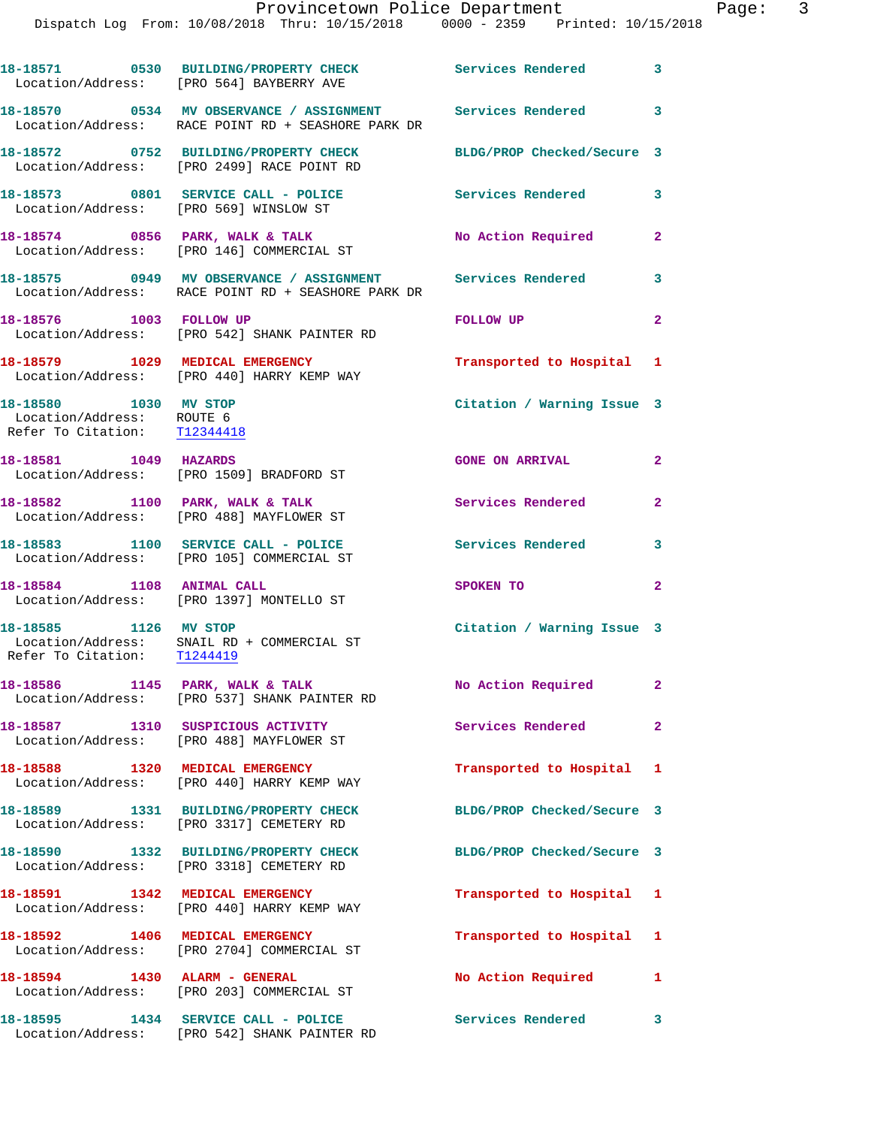|                                                                                    | 18-18571 0530 BUILDING/PROPERTY CHECK Services Rendered 3<br>Location/Address: [PRO 564] BAYBERRY AVE              |                            |                |
|------------------------------------------------------------------------------------|--------------------------------------------------------------------------------------------------------------------|----------------------------|----------------|
|                                                                                    | 18-18570 0534 MV OBSERVANCE / ASSIGNMENT Services Rendered 3<br>Location/Address: RACE POINT RD + SEASHORE PARK DR |                            |                |
|                                                                                    | 18-18572 0752 BUILDING/PROPERTY CHECK<br>Location/Address: [PRO 2499] RACE POINT RD                                | BLDG/PROP Checked/Secure 3 |                |
|                                                                                    | 18-18573 0801 SERVICE CALL - POLICE<br>Location/Address: [PRO 569] WINSLOW ST                                      | Services Rendered          | 3              |
|                                                                                    | 18-18574 0856 PARK, WALK & TALK<br>Location/Address: [PRO 146] COMMERCIAL ST                                       | No Action Required         | $\mathbf{2}$   |
|                                                                                    | 18-18575 0949 MV OBSERVANCE / ASSIGNMENT Services Rendered<br>Location/Address: RACE POINT RD + SEASHORE PARK DR   |                            | 3              |
| 18-18576 1003 FOLLOW UP                                                            | Location/Address: [PRO 542] SHANK PAINTER RD                                                                       | FOLLOW UP                  | $\mathbf{2}$   |
|                                                                                    | 18-18579 1029 MEDICAL EMERGENCY<br>Location/Address: [PRO 440] HARRY KEMP WAY                                      | Transported to Hospital 1  |                |
| 18-18580 1030 MV STOP<br>Location/Address: ROUTE 6<br>Refer To Citation: T12344418 |                                                                                                                    | Citation / Warning Issue 3 |                |
| 18-18581 1049 HAZARDS                                                              | Location/Address: [PRO 1509] BRADFORD ST                                                                           | <b>GONE ON ARRIVAL</b>     | $\mathbf{2}$   |
|                                                                                    | 18-18582 1100 PARK, WALK & TALK<br>Location/Address: [PRO 488] MAYFLOWER ST                                        | <b>Services Rendered</b>   | $\overline{2}$ |
|                                                                                    | 18-18583 1100 SERVICE CALL - POLICE<br>Location/Address: [PRO 105] COMMERCIAL ST                                   | Services Rendered          | 3              |
| 18-18584 1108 ANIMAL CALL                                                          | Location/Address: [PRO 1397] MONTELLO ST                                                                           | SPOKEN TO                  | $\overline{a}$ |
| 18-18585 1126 MV STOP<br>Refer To Citation: T1244419                               | Location/Address: SNAIL RD + COMMERCIAL ST                                                                         | Citation / Warning Issue 3 |                |
|                                                                                    | 18-18586 1145 PARK, WALK & TALK<br>Location/Address: [PRO 537] SHANK PAINTER RD                                    | No Action Required         | $\mathbf{2}^-$ |
|                                                                                    | 18-18587 1310 SUSPICIOUS ACTIVITY<br>Location/Address: [PRO 488] MAYFLOWER ST                                      | <b>Services Rendered</b>   | $\overline{2}$ |
|                                                                                    | 18-18588 1320 MEDICAL EMERGENCY<br>Location/Address: [PRO 440] HARRY KEMP WAY                                      | Transported to Hospital 1  |                |
|                                                                                    | 18-18589 1331 BUILDING/PROPERTY CHECK<br>Location/Address: [PRO 3317] CEMETERY RD                                  | BLDG/PROP Checked/Secure 3 |                |
|                                                                                    | 18-18590 1332 BUILDING/PROPERTY CHECK<br>Location/Address: [PRO 3318] CEMETERY RD                                  | BLDG/PROP Checked/Secure 3 |                |
|                                                                                    | 18-18591 1342 MEDICAL EMERGENCY<br>Location/Address: [PRO 440] HARRY KEMP WAY                                      | Transported to Hospital 1  |                |
|                                                                                    | 18-18592 1406 MEDICAL EMERGENCY<br>Location/Address: [PRO 2704] COMMERCIAL ST                                      | Transported to Hospital 1  |                |
| 18-18594 1430 ALARM - GENERAL                                                      | Location/Address: [PRO 203] COMMERCIAL ST                                                                          | No Action Required         | $\mathbf{1}$   |
|                                                                                    | Location/Address: [PRO 542] SHANK PAINTER RD                                                                       | <b>Services Rendered</b>   | 3              |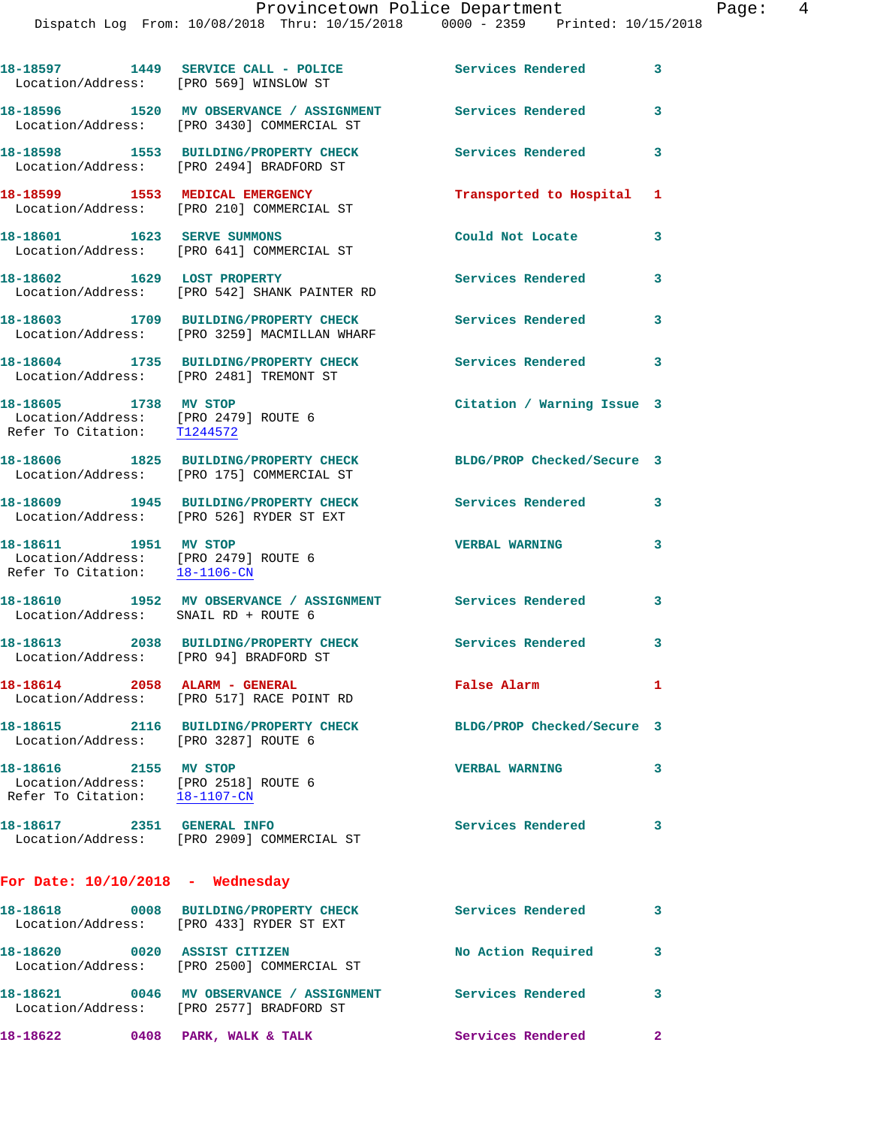| Location/Address: [PRO 569] WINSLOW ST                                                         | 18-18597 1449 SERVICE CALL - POLICE                                                           | <b>Services Rendered</b>   | 3            |
|------------------------------------------------------------------------------------------------|-----------------------------------------------------------------------------------------------|----------------------------|--------------|
|                                                                                                | 18-18596 1520 MV OBSERVANCE / ASSIGNMENT<br>Location/Address: [PRO 3430] COMMERCIAL ST        | <b>Services Rendered</b>   | 3            |
|                                                                                                | 18-18598 1553 BUILDING/PROPERTY CHECK<br>Location/Address: [PRO 2494] BRADFORD ST             | Services Rendered          | 3            |
|                                                                                                | 18-18599 1553 MEDICAL EMERGENCY<br>Location/Address: [PRO 210] COMMERCIAL ST                  | Transported to Hospital    | $\mathbf{1}$ |
| 18-18601 1623 SERVE SUMMONS                                                                    | Location/Address: [PRO 641] COMMERCIAL ST                                                     | Could Not Locate           | 3            |
| 18-18602 1629 LOST PROPERTY                                                                    | Location/Address: [PRO 542] SHANK PAINTER RD                                                  | Services Rendered          | 3            |
|                                                                                                | 18-18603 1709 BUILDING/PROPERTY CHECK<br>Location/Address: [PRO 3259] MACMILLAN WHARF         | <b>Services Rendered</b>   | 3            |
| Location/Address: [PRO 2481] TREMONT ST                                                        | 18-18604 1735 BUILDING/PROPERTY CHECK                                                         | Services Rendered          | 3            |
| 18-18605 1738 MV STOP<br>Location/Address: [PRO 2479] ROUTE 6<br>Refer To Citation: T1244572   |                                                                                               | Citation / Warning Issue 3 |              |
|                                                                                                | 18-18606 1825 BUILDING/PROPERTY CHECK<br>Location/Address: [PRO 175] COMMERCIAL ST            | BLDG/PROP Checked/Secure 3 |              |
|                                                                                                | 18-18609 1945 BUILDING/PROPERTY CHECK<br>Location/Address: [PRO 526] RYDER ST EXT             | <b>Services Rendered</b>   | 3            |
| 18-18611 1951 MV STOP<br>Location/Address: [PRO 2479] ROUTE 6<br>Refer To Citation: 18-1106-CN |                                                                                               | <b>VERBAL WARNING</b>      | 3            |
| Location/Address: SNAIL RD + ROUTE 6                                                           | 18-18610 1952 MV OBSERVANCE / ASSIGNMENT Services Rendered                                    |                            | 3            |
| Location/Address: [PRO 94] BRADFORD ST                                                         | 18-18613 2038 BUILDING/PROPERTY CHECK                                                         | Services Rendered          | 3            |
| 18-18614  2058  ALARM - GENERAL                                                                | Location/Address: [PRO 517] RACE POINT RD                                                     | False Alarm                | $\mathbf{1}$ |
| Location/Address: [PRO 3287] ROUTE 6                                                           | 18-18615  2116 BUILDING/PROPERTY CHECK                                                        | BLDG/PROP Checked/Secure 3 |              |
| 18-18616 2155 MV STOP<br>Location/Address: [PRO 2518] ROUTE 6<br>Refer To Citation: 18-1107-CN |                                                                                               | <b>VERBAL WARNING</b>      | 3            |
| 18-18617 2351 GENERAL INFO                                                                     | Location/Address: [PRO 2909] COMMERCIAL ST                                                    | <b>Services Rendered</b>   | 3            |
| For Date: $10/10/2018$ - Wednesday                                                             |                                                                                               |                            |              |
|                                                                                                | 18-18618 0008 BUILDING/PROPERTY CHECK<br>Location/Address: [PRO 433] RYDER ST EXT             | <b>Services Rendered</b>   | 3            |
| 18-18620 0020 ASSIST CITIZEN                                                                   | Location/Address: [PRO 2500] COMMERCIAL ST                                                    | No Action Required         | 3            |
| 18–18621                                                                                       | 0046 MV OBSERVANCE / ASSIGNMENT Services Rendered<br>Location/Address: [PRO 2577] BRADFORD ST |                            | 3            |

**18-18622 0408 PARK, WALK & TALK Services Rendered 2**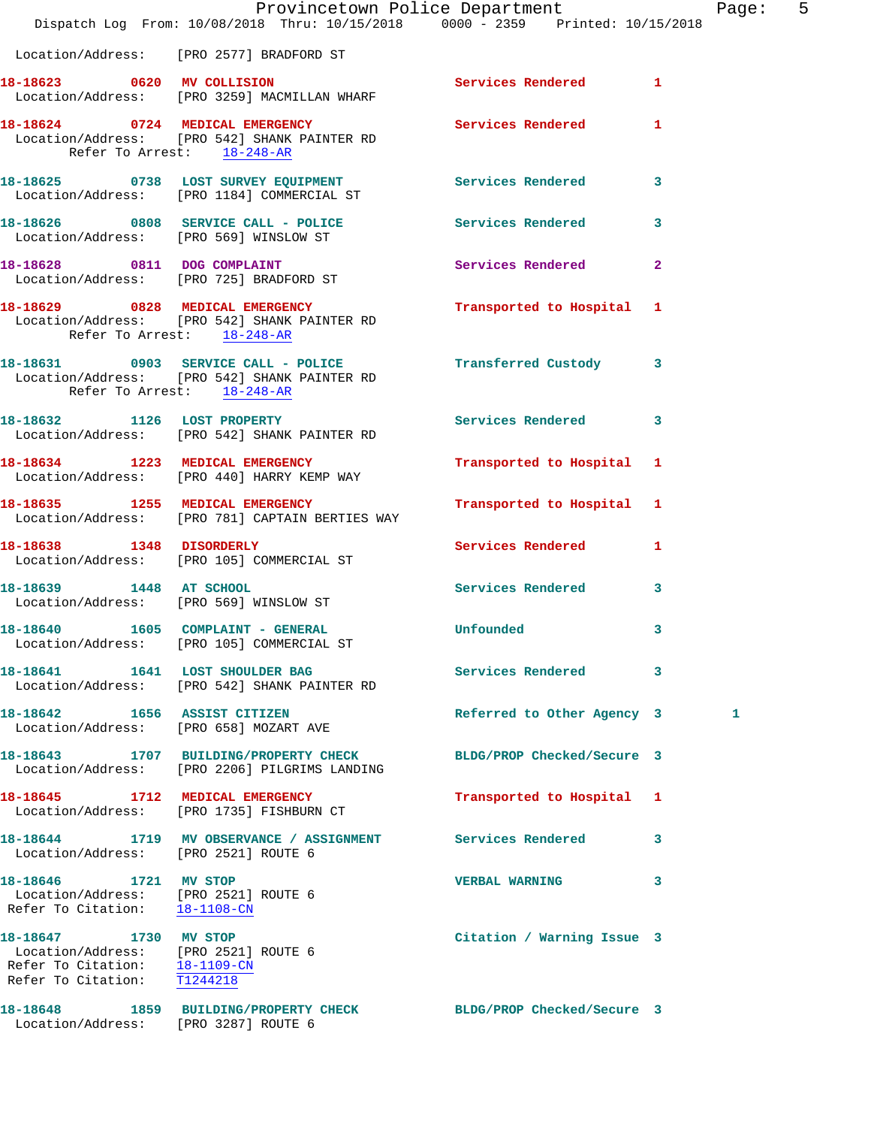|                                                                                                                   | Provincetown Police Department<br>Dispatch Log From: 10/08/2018 Thru: 10/15/2018 0000 - 2359 Printed: 10/15/2018 |                            | Pag                     |
|-------------------------------------------------------------------------------------------------------------------|------------------------------------------------------------------------------------------------------------------|----------------------------|-------------------------|
|                                                                                                                   | Location/Address: [PRO 2577] BRADFORD ST                                                                         |                            |                         |
|                                                                                                                   | 18-18623 0620 MV COLLISION<br>Location/Address: [PRO 3259] MACMILLAN WHARF                                       | Services Rendered          | $\mathbf{1}$            |
| Refer To Arrest: 18-248-AR                                                                                        | 18-18624 0724 MEDICAL EMERGENCY Services Rendered<br>Location/Address: [PRO 542] SHANK PAINTER RD                |                            | 1                       |
|                                                                                                                   |                                                                                                                  |                            | 3                       |
|                                                                                                                   | 18-18626 0808 SERVICE CALL - POLICE Services Rendered<br>Location/Address: [PRO 569] WINSLOW ST                  |                            | 3                       |
|                                                                                                                   | 18-18628 0811 DOG COMPLAINT<br>Location/Address: [PRO 725] BRADFORD ST                                           | Services Rendered          | $\overline{2}$          |
| Refer To Arrest: 18-248-AR                                                                                        | 18-18629 0828 MEDICAL EMERGENCY<br>Location/Address: [PRO 542] SHANK PAINTER RD                                  | Transported to Hospital 1  |                         |
| Refer To Arrest: 18-248-AR                                                                                        | 18-18631 0903 SERVICE CALL - POLICE 12 Transferred Custody 3<br>Location/Address: [PRO 542] SHANK PAINTER RD     |                            |                         |
|                                                                                                                   | 18-18632 1126 LOST PROPERTY<br>Location/Address: [PRO 542] SHANK PAINTER RD                                      | Services Rendered          | 3                       |
|                                                                                                                   | 18-18634 1223 MEDICAL EMERGENCY<br>Location/Address: [PRO 440] HARRY KEMP WAY                                    | Transported to Hospital 1  |                         |
|                                                                                                                   | 18-18635 1255 MEDICAL EMERGENCY<br>Location/Address: [PRO 781] CAPTAIN BERTIES WAY                               | Transported to Hospital 1  |                         |
|                                                                                                                   | 18-18638 1348 DISORDERLY<br>Location/Address: [PRO 105] COMMERCIAL ST                                            | <b>Services Rendered</b>   | 1                       |
|                                                                                                                   | 18-18639 1448 AT SCHOOL<br>Location/Address: [PRO 569] WINSLOW ST                                                | Services Rendered          | $\overline{\mathbf{3}}$ |
|                                                                                                                   | 18-18640 1605 COMPLAINT - GENERAL Unfounded<br>Location/Address: [PRO 105] COMMERCIAL ST                         |                            |                         |
|                                                                                                                   | 18-18641 1641 LOST SHOULDER BAG<br>Location/Address: [PRO 542] SHANK PAINTER RD                                  | Services Rendered          | 3                       |
| 18-18642 1656 ASSIST CITIZEN                                                                                      | Location/Address: [PRO 658] MOZART AVE                                                                           | Referred to Other Agency 3 | 1.                      |
|                                                                                                                   | 18-18643 1707 BUILDING/PROPERTY CHECK<br>Location/Address: [PRO 2206] PILGRIMS LANDING                           | BLDG/PROP Checked/Secure 3 |                         |
|                                                                                                                   | 18-18645 1712 MEDICAL EMERGENCY<br>Location/Address: [PRO 1735] FISHBURN CT                                      | Transported to Hospital 1  |                         |
| Location/Address: [PRO 2521] ROUTE 6                                                                              | 18-18644 1719 MV OBSERVANCE / ASSIGNMENT Services Rendered                                                       |                            | 3                       |
| 18-18646 1721 MV STOP<br>Location/Address: [PRO 2521] ROUTE 6<br>Refer To Citation: 18-1108-CN                    |                                                                                                                  | <b>VERBAL WARNING</b>      | 3                       |
| 18-18647 1730 MV STOP<br>Location/Address: [PRO 2521] ROUTE 6<br>Refer To Citation: $\frac{18-1109-CN}{T1244218}$ |                                                                                                                  | Citation / Warning Issue 3 |                         |
| Location/Address: [PRO 3287] ROUTE 6                                                                              | 18-18648 1859 BUILDING/PROPERTY CHECK BLDG/PROP Checked/Secure 3                                                 |                            |                         |

Page: 5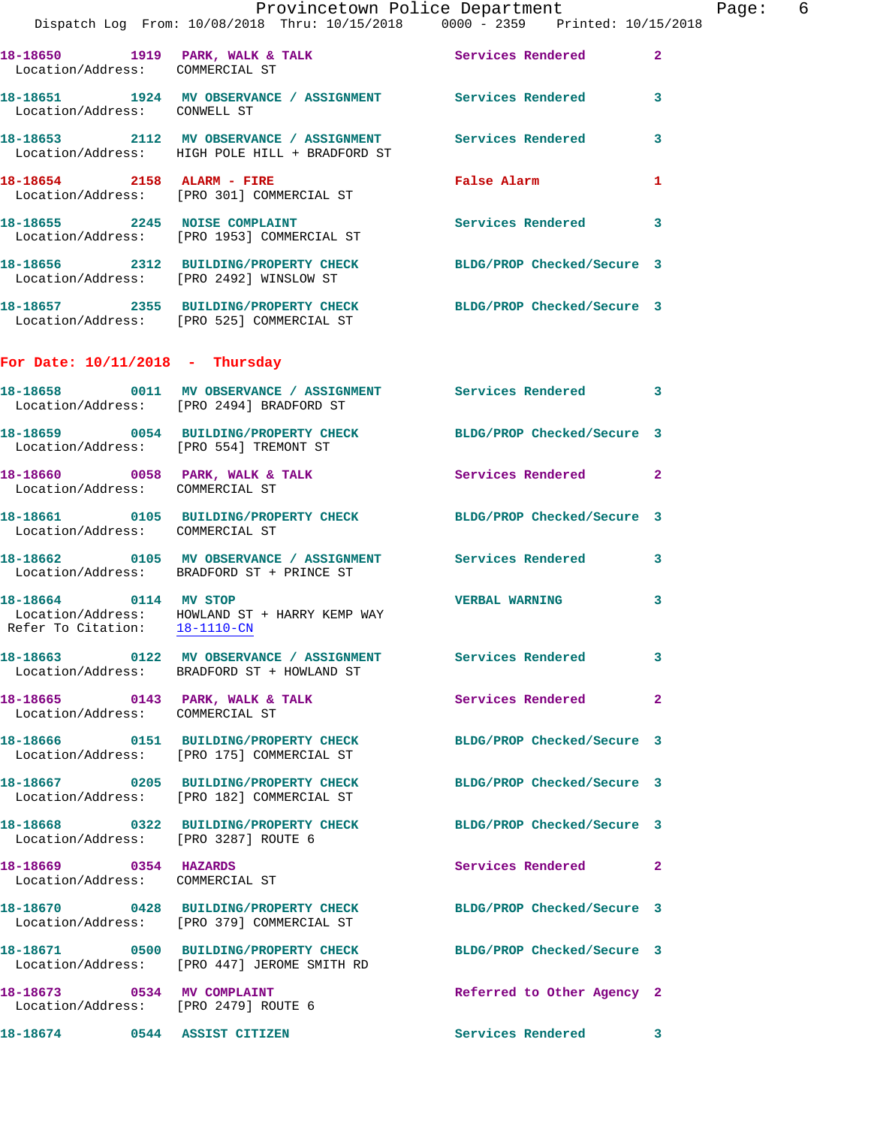|                                                                    | Provincetown Police Department                                                                                    |                            | Page: 6      |
|--------------------------------------------------------------------|-------------------------------------------------------------------------------------------------------------------|----------------------------|--------------|
|                                                                    | Dispatch Log From: 10/08/2018 Thru: 10/15/2018 0000 - 2359 Printed: 10/15/2018                                    |                            |              |
|                                                                    | 18-18650 1919 PARK, WALK & TALK Services Rendered 2<br>Location/Address: COMMERCIAL ST                            |                            |              |
| Location/Address: CONWELL ST                                       | 18-18651 1924 MV OBSERVANCE / ASSIGNMENT Services Rendered 3                                                      |                            |              |
|                                                                    | 18-18653 2112 MV OBSERVANCE / ASSIGNMENT Services Rendered 3<br>Location/Address: HIGH POLE HILL + BRADFORD ST    |                            |              |
|                                                                    | 18-18654 2158 ALARM - FIRE False Alarm<br>Location/Address: [PRO 301] COMMERCIAL ST                               |                            | $\mathbf{1}$ |
|                                                                    | 18-18655 2245 NOISE COMPLAINT<br>Location/Address: [PRO 1953] COMMERCIAL ST                                       | Services Rendered 3        |              |
|                                                                    | 18-18656 2312 BUILDING/PROPERTY CHECK BLDG/PROP Checked/Secure 3<br>Location/Address: [PRO 2492] WINSLOW ST       |                            |              |
|                                                                    | 18-18657 2355 BUILDING/PROPERTY CHECK BLDG/PROP Checked/Secure 3<br>Location/Address: [PRO 525] COMMERCIAL ST     |                            |              |
| For Date: $10/11/2018$ - Thursday                                  |                                                                                                                   |                            |              |
|                                                                    | 18-18658 0011 MV OBSERVANCE / ASSIGNMENT Services Rendered 3<br>Location/Address: [PRO 2494] BRADFORD ST          |                            |              |
| Location/Address: [PRO 554] TREMONT ST                             | 18-18659 0054 BUILDING/PROPERTY CHECK BLDG/PROP Checked/Secure 3                                                  |                            |              |
| Location/Address: COMMERCIAL ST                                    | 18-18660 0058 PARK, WALK & TALK 3 Services Rendered 2                                                             |                            |              |
| Location/Address: COMMERCIAL ST                                    | 18-18661 0105 BUILDING/PROPERTY CHECK BLDG/PROP Checked/Secure 3                                                  |                            |              |
|                                                                    | 18-18662 0105 MV OBSERVANCE / ASSIGNMENT Services Rendered 3<br>Location/Address: BRADFORD ST + PRINCE ST         |                            |              |
| Refer To Citation: 18-1110-CN                                      | 18-18664 0114 MV STOP<br>Location/Address: HOWLAND ST + HARRY KEMP WAY                                            | <b>VERBAL WARNING</b>      | $\mathbf{3}$ |
|                                                                    | 18-18663 0122 MV OBSERVANCE / ASSIGNMENT Services Rendered 3<br>Location/Address: BRADFORD ST + HOWLAND ST        |                            |              |
| Location/Address: COMMERCIAL ST                                    | 18-18665 0143 PARK, WALK & TALK Services Rendered 2                                                               |                            |              |
|                                                                    | 18-18666 0151 BUILDING/PROPERTY CHECK BLDG/PROP Checked/Secure 3<br>Location/Address: [PRO 175] COMMERCIAL ST     |                            |              |
|                                                                    | 18-18667 0205 BUILDING/PROPERTY CHECK BLDG/PROP Checked/Secure 3<br>Location/Address: [PRO 182] COMMERCIAL ST     |                            |              |
| Location/Address: [PRO 3287] ROUTE 6                               | 18-18668 0322 BUILDING/PROPERTY CHECK BLDG/PROP Checked/Secure 3                                                  |                            |              |
| 18-18669 0354 HAZARDS<br>Location/Address: COMMERCIAL ST           |                                                                                                                   | Services Rendered 2        |              |
|                                                                    | 18-18670 0428 BUILDING/PROPERTY CHECK BLDG/PROP Checked/Secure 3<br>Location/Address: [PRO 379] COMMERCIAL ST     |                            |              |
|                                                                    | 18-18671   0500 BUILDING/PROPERTY CHECK BLDG/PROP Checked/Secure 3<br>Location/Address: [PRO 447] JEROME SMITH RD |                            |              |
| 18-18673 0534 MV COMPLAINT<br>Location/Address: [PRO 2479] ROUTE 6 |                                                                                                                   | Referred to Other Agency 2 |              |
| 18-18674 0544 ASSIST CITIZEN                                       |                                                                                                                   | Services Rendered 3        |              |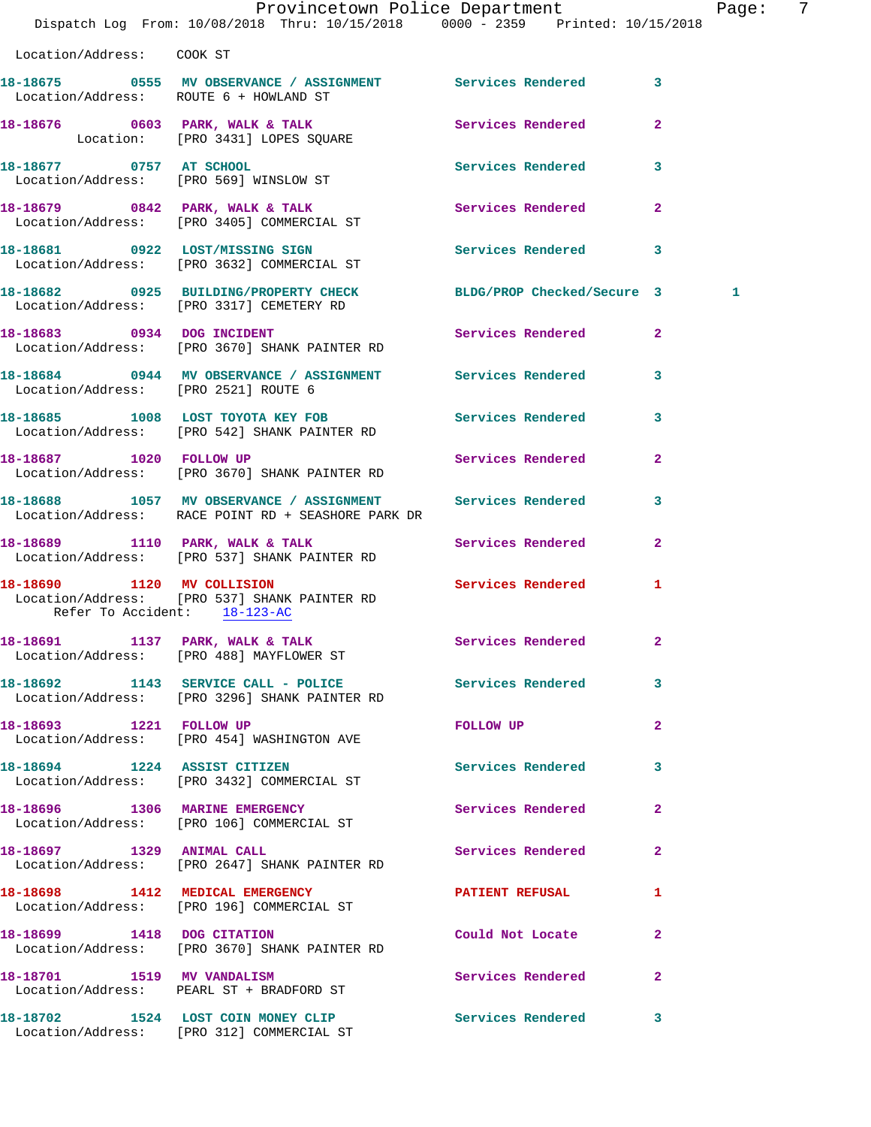|                                        | Dispatch Log From: 10/08/2018 Thru: 10/15/2018 0000 - 2359 Printed: 10/15/2018                                             | Provincetown Police Department | - 7<br>Page:   |
|----------------------------------------|----------------------------------------------------------------------------------------------------------------------------|--------------------------------|----------------|
| Location/Address: COOK ST              |                                                                                                                            |                                |                |
| Location/Address: ROUTE 6 + HOWLAND ST |                                                                                                                            |                                |                |
|                                        | 18-18676 0603 PARK, WALK & TALK 2008 Services Rendered<br>Location: [PRO 3431] LOPES SQUARE                                |                                | $\overline{2}$ |
| 18-18677 0757 AT SCHOOL                | Location/Address: [PRO 569] WINSLOW ST                                                                                     | Services Rendered 3            |                |
|                                        | 18-18679 0842 PARK, WALK & TALK (2008) Services Rendered 2<br>Location/Address: [PRO 3405] COMMERCIAL ST                   |                                |                |
|                                        | 18-18681 0922 LOST/MISSING SIGN Services Rendered 3<br>Location/Address: [PRO 3632] COMMERCIAL ST                          |                                |                |
|                                        | 18-18682     0925  BUILDING/PROPERTY CHECK        BLDG/PROP Checked/Secure 3<br>Location/Address:   [PRO 3317] CEMETERY RD |                                | 1              |
|                                        | 18-18683 0934 DOG INCIDENT<br>Location/Address: [PRO 3670] SHANK PAINTER RD                                                | Services Rendered 2            |                |
| Location/Address: [PRO 2521] ROUTE 6   | 18-18684 0944 MV OBSERVANCE / ASSIGNMENT Services Rendered 3                                                               |                                |                |
|                                        | 18-18685 1008 LOST TOYOTA KEY FOB Services Rendered 3<br>Location/Address: [PRO 542] SHANK PAINTER RD                      |                                |                |
|                                        | 18-18687 1020 FOLLOW UP Services Rendered 2<br>Location/Address: [PRO 3670] SHANK PAINTER RD                               |                                |                |
|                                        | 18-18688 1057 MV OBSERVANCE / ASSIGNMENT Services Rendered<br>Location/Address: RACE POINT RD + SEASHORE PARK DR           |                                | 3              |
|                                        | 18-18689 1110 PARK, WALK & TALK 1998 Services Rendered 2<br>Location/Address: [PRO 537] SHANK PAINTER RD                   |                                |                |
| Refer To Accident: 18-123-AC           | 18-18690 1120 MV COLLISION<br>Location/Address: [PRO 537] SHANK PAINTER RD                                                 | Services Rendered 1            |                |
|                                        | 18-18691 1137 PARK, WALK & TALK 1998 Services Rendered<br>Location/Address: [PRO 488] MAYFLOWER ST                         |                                |                |
|                                        | 18-18692 1143 SERVICE CALL - POLICE 3 Services Rendered 3<br>Location/Address: [PRO 3296] SHANK PAINTER RD                 |                                |                |
| 18-18693 1221 FOLLOW UP                | Location/Address: [PRO 454] WASHINGTON AVE                                                                                 | FOLLOW UP                      | $\mathbf{2}$   |
|                                        | 18-18694 1224 ASSIST CITIZEN<br>Location/Address: [PRO 3432] COMMERCIAL ST                                                 | Services Rendered              | 3              |
|                                        | 18-18696 1306 MARINE EMERGENCY<br>Location/Address: [PRO 106] COMMERCIAL ST                                                | Services Rendered              | $\mathbf{2}$   |
|                                        | 18-18697 1329 ANIMAL CALL<br>Location/Address: [PRO 2647] SHANK PAINTER RD                                                 | Services Rendered              | $\mathbf{2}$   |
|                                        | 18-18698 1412 MEDICAL EMERGENCY<br>Location/Address: [PRO 196] COMMERCIAL ST                                               | PATIENT REFUSAL                | $\mathbf{1}$   |
|                                        | 18-18699 1418 DOG CITATION<br>Location/Address: [PRO 3670] SHANK PAINTER RD                                                | Could Not Locate               | 2              |
| 18-18701 1519 MV VANDALISM             | Location/Address: PEARL ST + BRADFORD ST                                                                                   | Services Rendered              | $\mathbf{2}$   |
|                                        | 18-18702 1524 LOST COIN MONEY CLIP<br>Location/Address: [PRO 312] COMMERCIAL ST                                            | Services Rendered 3            |                |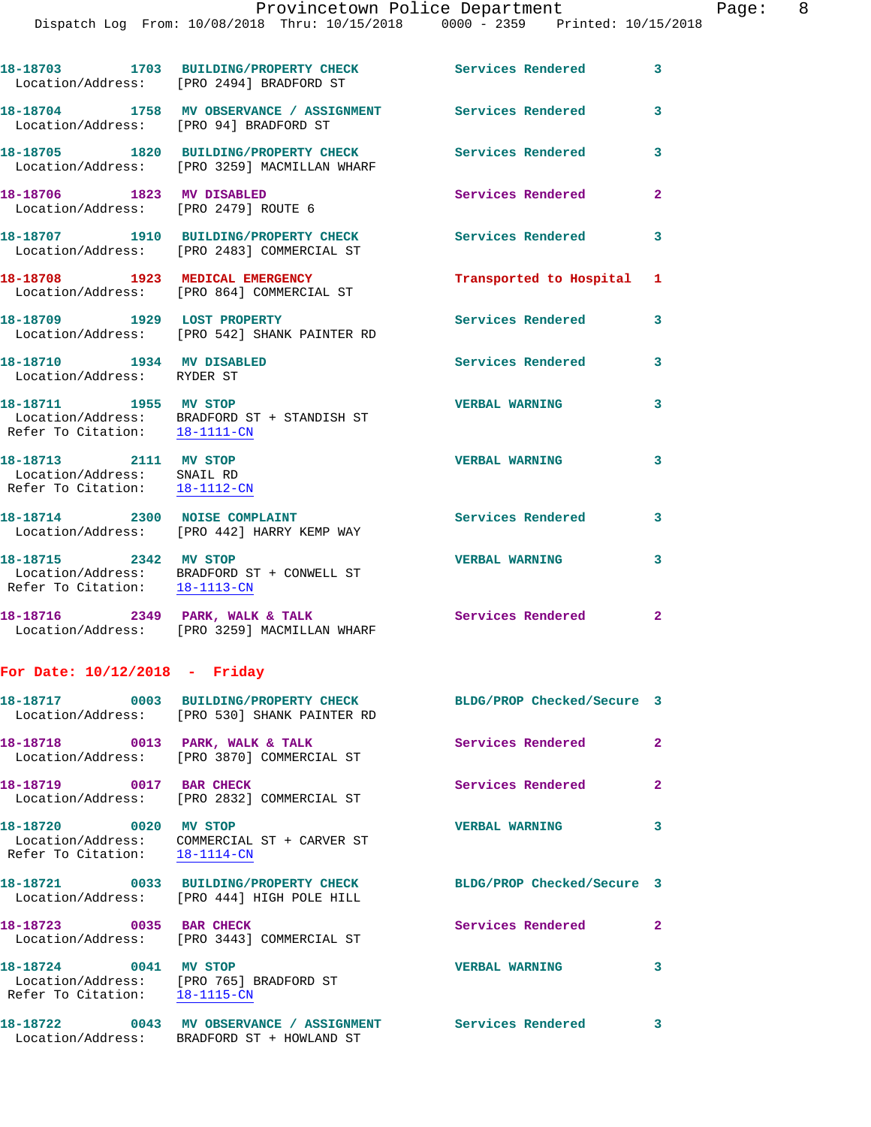|                                                                                      | Dispatch Log From: 10/08/2018 Thru: 10/15/2018 0000 - 2359 Printed: 10/15/2018                                   |                            |              |
|--------------------------------------------------------------------------------------|------------------------------------------------------------------------------------------------------------------|----------------------------|--------------|
|                                                                                      | Location/Address: [PRO 2494] BRADFORD ST                                                                         | Services Rendered          | 3            |
| Location/Address: [PRO 94] BRADFORD ST                                               | 18-18704 1758 MV OBSERVANCE / ASSIGNMENT                                                                         | <b>Services Rendered</b>   | 3            |
|                                                                                      | 18-18705 1820 BUILDING/PROPERTY CHECK<br>Location/Address: [PRO 3259] MACMILLAN WHARF                            | Services Rendered          | 3            |
| 18-18706 1823 MV DISABLED<br>Location/Address: [PRO 2479] ROUTE 6                    |                                                                                                                  | Services Rendered          | $\mathbf{2}$ |
|                                                                                      | 18-18707 1910 BUILDING/PROPERTY CHECK<br>Location/Address: [PRO 2483] COMMERCIAL ST                              | <b>Services Rendered</b>   | 3            |
|                                                                                      | 18-18708 1923 MEDICAL EMERGENCY<br>Location/Address: [PRO 864] COMMERCIAL ST                                     | Transported to Hospital    | 1            |
| 18-18709 1929 LOST PROPERTY                                                          | Location/Address: [PRO 542] SHANK PAINTER RD                                                                     | Services Rendered          | 3            |
| 18-18710 1934 MV DISABLED<br>Location/Address: RYDER ST                              |                                                                                                                  | <b>Services Rendered</b>   | 3            |
| 18-18711 1955 MV STOP<br>Refer To Citation: 18-1111-CN                               | Location/Address: BRADFORD ST + STANDISH ST                                                                      | <b>VERBAL WARNING</b>      | 3            |
| 18-18713 2111 MV STOP<br>Location/Address: SNAIL RD<br>Refer To Citation: 18-1112-CN |                                                                                                                  | <b>VERBAL WARNING</b>      | 3            |
|                                                                                      | 18-18714 2300 NOISE COMPLAINT<br>Location/Address: [PRO 442] HARRY KEMP WAY                                      | Services Rendered          | 3            |
| 18-18715 2342 MV STOP                                                                | Location/Address: BRADFORD ST + CONWELL ST<br>Refer To Citation: 18-1113-CN                                      | <b>VERBAL WARNING</b>      | 3            |
|                                                                                      | 18-18716 2349 PARK, WALK & TALK<br>Location/Address: [PRO 3259] MACMILLAN WHARF                                  | Services Rendered          | $\mathbf{2}$ |
| For Date: $10/12/2018$ - Friday                                                      |                                                                                                                  |                            |              |
|                                                                                      | 18-18717 0003 BUILDING/PROPERTY CHECK BLDG/PROP Checked/Secure 3<br>Location/Address: [PRO 530] SHANK PAINTER RD |                            |              |
|                                                                                      | Location/Address: [PRO 3870] COMMERCIAL ST                                                                       | <b>Services Rendered</b>   | 2            |
| 18-18719 0017 BAR CHECK                                                              | Location/Address: [PRO 2832] COMMERCIAL ST                                                                       | Services Rendered          | $\mathbf{2}$ |
| 18-18720 0020 MV STOP<br>Refer To Citation: 18-1114-CN                               | Location/Address: COMMERCIAL ST + CARVER ST                                                                      | <b>VERBAL WARNING</b>      | 3            |
|                                                                                      | 18-18721 0033 BUILDING/PROPERTY CHECK<br>Location/Address: [PRO 444] HIGH POLE HILL                              | BLDG/PROP Checked/Secure 3 |              |
| 18-18723 0035 BAR CHECK                                                              | Location/Address: [PRO 3443] COMMERCIAL ST                                                                       | Services Rendered          | $\mathbf{2}$ |
| 18-18724                                                                             | 0041 MV STOP                                                                                                     | <b>VERBAL WARNING</b>      | 3            |

 Location/Address: [PRO 765] BRADFORD ST Refer To Citation: 18-1115-CN

**18-18722 0043 MV OBSERVANCE / ASSIGNMENT Services Rendered 3**  Location/Address: BRADFORD ST + HOWLAND ST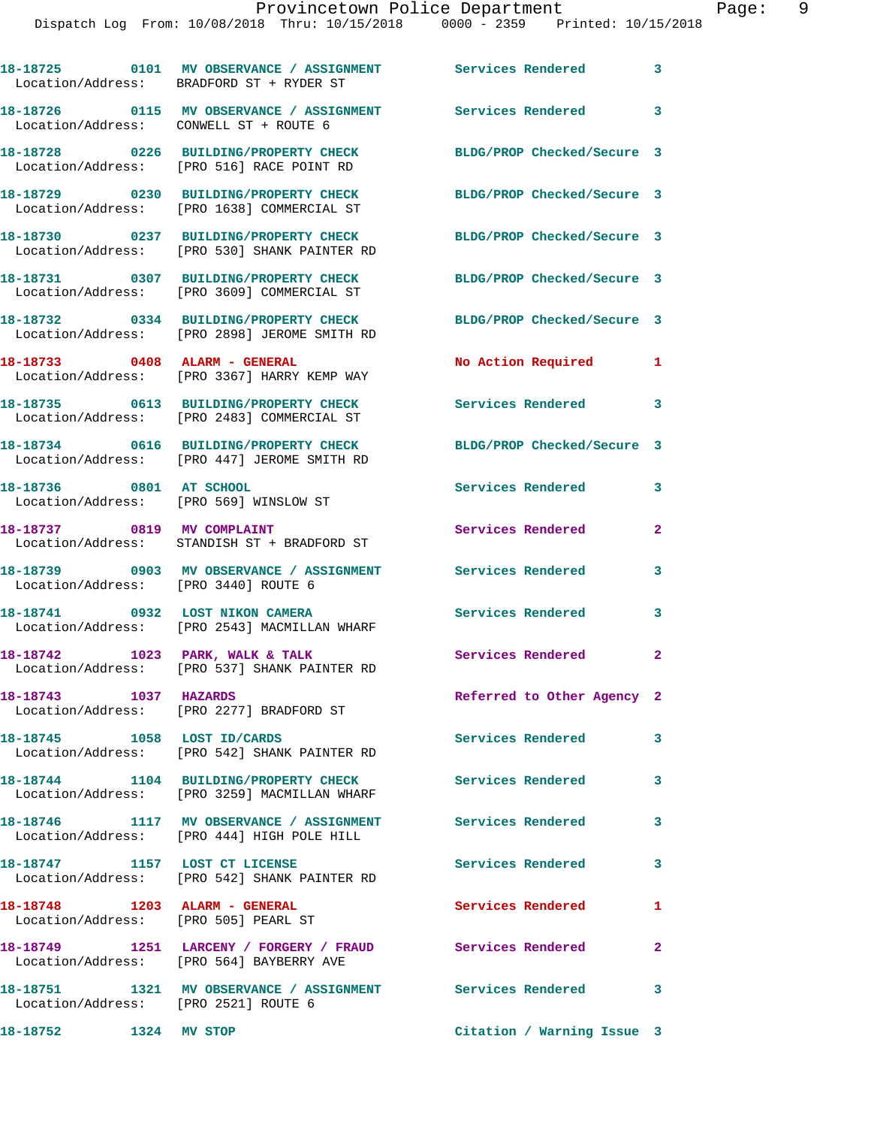|                                                                             | 18-18725   0101 MV OBSERVANCE / ASSIGNMENT   Services Rendered<br>Location/Address: BRADFORD ST + RYDER ST |                            | $\overline{\mathbf{3}}$ |
|-----------------------------------------------------------------------------|------------------------------------------------------------------------------------------------------------|----------------------------|-------------------------|
| Location/Address: CONWELL ST + ROUTE 6                                      | 18-18726 0115 MV OBSERVANCE / ASSIGNMENT                                                                   | Services Rendered 3        |                         |
|                                                                             | 18-18728 0226 BUILDING/PROPERTY CHECK<br>Location/Address: [PRO 516] RACE POINT RD                         | BLDG/PROP Checked/Secure 3 |                         |
|                                                                             | 18-18729 0230 BUILDING/PROPERTY CHECK<br>Location/Address: [PRO 1638] COMMERCIAL ST                        | BLDG/PROP Checked/Secure 3 |                         |
|                                                                             | 18-18730 0237 BUILDING/PROPERTY CHECK<br>Location/Address: [PRO 530] SHANK PAINTER RD                      | BLDG/PROP Checked/Secure 3 |                         |
|                                                                             | 18-18731 0307 BUILDING/PROPERTY CHECK<br>Location/Address: [PRO 3609] COMMERCIAL ST                        | BLDG/PROP Checked/Secure 3 |                         |
|                                                                             | 18-18732 0334 BUILDING/PROPERTY CHECK<br>Location/Address: [PRO 2898] JEROME SMITH RD                      | BLDG/PROP Checked/Secure 3 |                         |
| 18-18733 0408 ALARM - GENERAL                                               | Location/Address: [PRO 3367] HARRY KEMP WAY                                                                | No Action Required         | 1                       |
|                                                                             | 18-18735 0613 BUILDING/PROPERTY CHECK<br>Location/Address: [PRO 2483] COMMERCIAL ST                        | Services Rendered          | 3                       |
|                                                                             | 18-18734 0616 BUILDING/PROPERTY CHECK<br>Location/Address: [PRO 447] JEROME SMITH RD                       | BLDG/PROP Checked/Secure 3 |                         |
| 18-18736 0801 AT SCHOOL                                                     | Location/Address: [PRO 569] WINSLOW ST                                                                     | Services Rendered          | 3                       |
|                                                                             | 18-18737 0819 MV COMPLAINT<br>Location/Address: STANDISH ST + BRADFORD ST                                  | Services Rendered          | $\overline{2}$          |
| Location/Address: [PRO 3440] ROUTE 6                                        | 18-18739 0903 MV OBSERVANCE / ASSIGNMENT                                                                   | Services Rendered          | 3                       |
|                                                                             | 18-18741 0932 LOST NIKON CAMERA<br>Location/Address: [PRO 2543] MACMILLAN WHARF                            | Services Rendered          | 3                       |
| 18-18742 1023 PARK, WALK & TALK                                             | Location/Address: [PRO 537] SHANK PAINTER RD                                                               | Services Rendered          | $\overline{2}$          |
| 1037 HAZARDS<br>18-18743                                                    | Location/Address: [PRO 2277] BRADFORD ST                                                                   | Referred to Other Agency 2 |                         |
|                                                                             | 18-18745 1058 LOST ID/CARDS<br>Location/Address: [PRO 542] SHANK PAINTER RD                                | Services Rendered          | 3                       |
|                                                                             | 18-18744 1104 BUILDING/PROPERTY CHECK<br>Location/Address: [PRO 3259] MACMILLAN WHARF                      | <b>Services Rendered</b>   | $\mathbf{3}$            |
|                                                                             | 18-18746 1117 MV OBSERVANCE / ASSIGNMENT Services Rendered<br>Location/Address: [PRO 444] HIGH POLE HILL   |                            | 3                       |
| 18-18747 1157 LOST CT LICENSE                                               | Location/Address: [PRO 542] SHANK PAINTER RD                                                               | Services Rendered          | $\overline{\mathbf{3}}$ |
| 18-18748    1203    ALARM - GENERAL<br>Location/Address: [PRO 505] PEARL ST |                                                                                                            | Services Rendered          | 1                       |
|                                                                             | 18-18749 1251 LARCENY / FORGERY / FRAUD<br>Location/Address: [PRO 564] BAYBERRY AVE                        | <b>Services Rendered</b>   | $\overline{2}$          |
| Location/Address: [PRO 2521] ROUTE 6                                        | 18-18751 1321 MV OBSERVANCE / ASSIGNMENT Services Rendered 3                                               |                            |                         |
| 18-18752 1324 MV STOP                                                       |                                                                                                            | Citation / Warning Issue 3 |                         |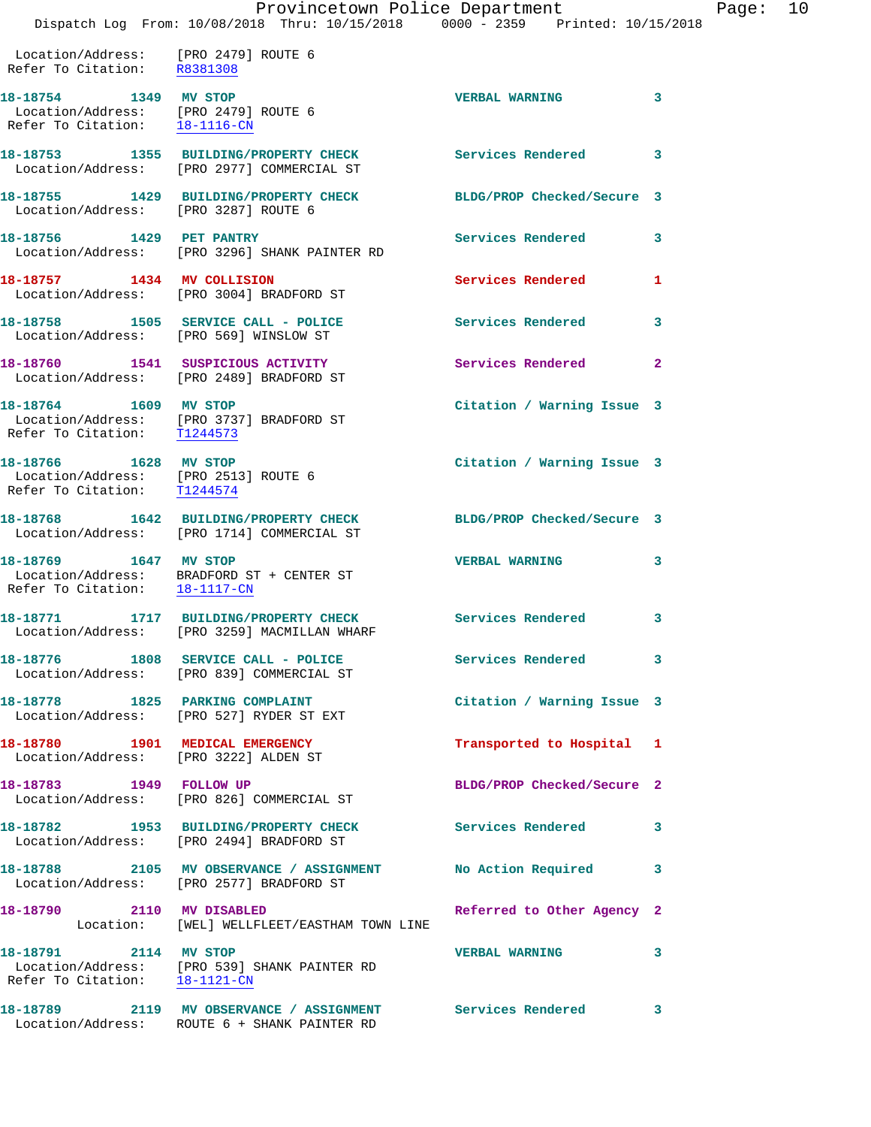## Provincetown Police Department Fage: 10

Dispatch Log From: 10/08/2018 Thru: 10/15/2018 0000 - 2359 Printed: 10/15/2018

 Location/Address: [PRO 2479] ROUTE 6 Refer To Citation: R8381308

**18-18754 1349 MV STOP VERBAL WARNING 3**  Location/Address: [PRO 2479] ROUTE 6 Refer To Citation: 18-1116-CN **18-18753 1355 BUILDING/PROPERTY CHECK Services Rendered 3**  Location/Address: [PRO 2977] COMMERCIAL ST **18-18755 1429 BUILDING/PROPERTY CHECK BLDG/PROP Checked/Secure 3**  Location/Address: [PRO 3287] ROUTE 6 **18-18756 1429 PET PANTRY Services Rendered 3**  Location/Address: [PRO 3296] SHANK PAINTER RD **18-18757 1434 MV COLLISION Services Rendered 1**  Location/Address: [PRO 3004] BRADFORD ST **18-18758 1505 SERVICE CALL - POLICE Services Rendered 3**  Location/Address: [PRO 569] WINSLOW ST **18-18760 1541 SUSPICIOUS ACTIVITY Services Rendered 2**  Location/Address: [PRO 2489] BRADFORD ST **18-18764 1609 MV STOP Citation / Warning Issue 3**  Location/Address: [PRO 3737] BRADFORD ST Refer To Citation: T1244573 **18-18766 1628 MV STOP Citation / Warning Issue 3**  Location/Address: [PRO 2513] ROUTE 6 Refer To Citation: T1244574 **18-18768 1642 BUILDING/PROPERTY CHECK BLDG/PROP Checked/Secure 3**  Location/Address: [PRO 1714] COMMERCIAL ST **18-18769 1647 MV STOP VERBAL WARNING 3**  Location/Address: BRADFORD ST + CENTER ST Refer To Citation: 18-1117-CN **18-18771 1717 BUILDING/PROPERTY CHECK Services Rendered 3**  Location/Address: [PRO 3259] MACMILLAN WHARF **18-18776 1808 SERVICE CALL - POLICE Services Rendered 3**  Location/Address: [PRO 839] COMMERCIAL ST **18-18778 1825 PARKING COMPLAINT Citation / Warning Issue 3**  Location/Address: [PRO 527] RYDER ST EXT **18-18780 1901 MEDICAL EMERGENCY Transported to Hospital 1**  Location/Address: [PRO 3222] ALDEN ST **18-18783 1949 FOLLOW UP BLDG/PROP Checked/Secure 2**  Location/Address: [PRO 826] COMMERCIAL ST **18-18782 1953 BUILDING/PROPERTY CHECK Services Rendered 3**  Location/Address: [PRO 2494] BRADFORD ST **18-18788 2105 MV OBSERVANCE / ASSIGNMENT No Action Required 3**  Location/Address: [PRO 2577] BRADFORD ST **18-18790 2110 MV DISABLED Referred to Other Agency 2**  Location: [WEL] WELLFLEET/EASTHAM TOWN LINE **18-18791 2114 MV STOP VERBAL WARNING 3**  Location/Address: [PRO 539] SHANK PAINTER RD Refer To Citation: 18-1121-CN **18-18789 2119 MV OBSERVANCE / ASSIGNMENT Services Rendered 3**  Location/Address: ROUTE 6 + SHANK PAINTER RD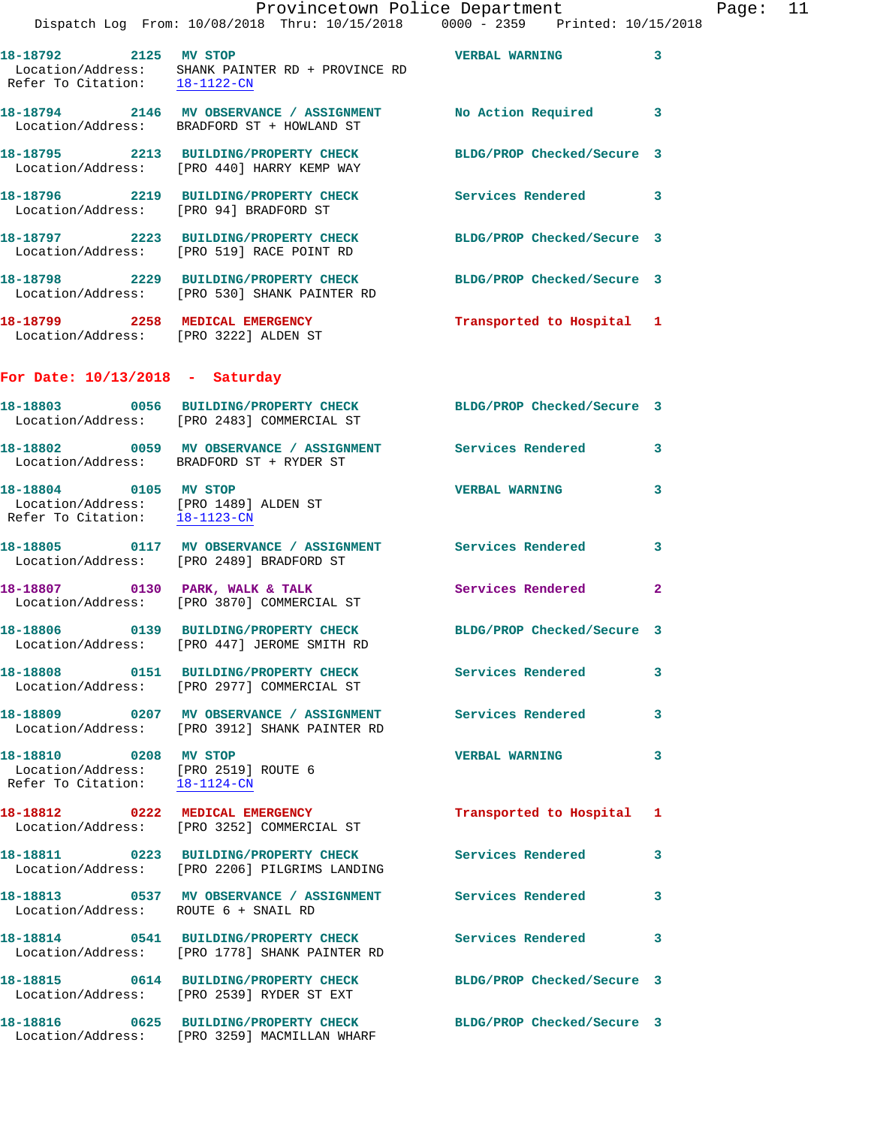|                                                                                                 | Provincetown Police Department<br>Dispatch Log From: 10/08/2018 Thru: 10/15/2018 0000 - 2359 Printed: 10/15/2018  |                            |                |
|-------------------------------------------------------------------------------------------------|-------------------------------------------------------------------------------------------------------------------|----------------------------|----------------|
|                                                                                                 | 18-18792 2125 MV STOP<br>Location/Address: SHANK PAINTER RD + PROVINCE RD<br>Refer To Citation: <u>18-1122-CN</u> | <b>VERBAL WARNING</b>      | 3              |
|                                                                                                 | 18-18794 2146 MV OBSERVANCE / ASSIGNMENT No Action Required<br>Location/Address: BRADFORD ST + HOWLAND ST         |                            | 3              |
|                                                                                                 | 18-18795 2213 BUILDING/PROPERTY CHECK<br>Location/Address: [PRO 440] HARRY KEMP WAY                               | BLDG/PROP Checked/Secure 3 |                |
| Location/Address: [PRO 94] BRADFORD ST                                                          | 18-18796 2219 BUILDING/PROPERTY CHECK                                                                             | Services Rendered 3        |                |
|                                                                                                 | 18-18797 2223 BUILDING/PROPERTY CHECK<br>Location/Address: [PRO 519] RACE POINT RD                                | BLDG/PROP Checked/Secure 3 |                |
|                                                                                                 | 18-18798 2229 BUILDING/PROPERTY CHECK<br>Location/Address: [PRO 530] SHANK PAINTER RD                             | BLDG/PROP Checked/Secure 3 |                |
| Location/Address: [PRO 3222] ALDEN ST                                                           | 18-18799 2258 MEDICAL EMERGENCY                                                                                   | Transported to Hospital 1  |                |
| For Date: $10/13/2018$ - Saturday                                                               |                                                                                                                   |                            |                |
|                                                                                                 | 18-18803 0056 BUILDING/PROPERTY CHECK BLDG/PROP Checked/Secure 3<br>Location/Address: [PRO 2483] COMMERCIAL ST    |                            |                |
|                                                                                                 | 18-18802 0059 MV OBSERVANCE / ASSIGNMENT Services Rendered<br>Location/Address: BRADFORD ST + RYDER ST            |                            | 3              |
| 18-18804 0105 MV STOP<br>Location/Address: [PRO 1489] ALDEN ST<br>Refer To Citation: 18-1123-CN |                                                                                                                   | <b>VERBAL WARNING</b>      | 3              |
|                                                                                                 | 18-18805 0117 MV OBSERVANCE / ASSIGNMENT Services Rendered<br>Location/Address: [PRO 2489] BRADFORD ST            |                            | 3              |
|                                                                                                 | 18-18807 0130 PARK, WALK & TALK<br>Location/Address: [PRO 3870] COMMERCIAL ST                                     | Services Rendered          | $\overline{2}$ |
|                                                                                                 | 18-18806 0139 BUILDING/PROPERTY CHECK<br>Location/Address: [PRO 447] JEROME SMITH RD                              | BLDG/PROP Checked/Secure 3 |                |
|                                                                                                 | 18-18808 0151 BUILDING/PROPERTY CHECK<br>Location/Address: [PRO 2977] COMMERCIAL ST                               | Services Rendered          | 3              |
|                                                                                                 | 18-18809 0207 MV OBSERVANCE / ASSIGNMENT Services Rendered<br>Location/Address: [PRO 3912] SHANK PAINTER RD       |                            | 3              |
| 18-18810 0208 MV STOP<br>Location/Address: [PRO 2519] ROUTE 6<br>Refer To Citation: 18-1124-CN  |                                                                                                                   | <b>VERBAL WARNING</b>      | 3              |
|                                                                                                 | 18-18812 0222 MEDICAL EMERGENCY<br>Location/Address: [PRO 3252] COMMERCIAL ST                                     | Transported to Hospital    | 1              |
|                                                                                                 | 18-18811 0223 BUILDING/PROPERTY CHECK<br>Location/Address: [PRO 2206] PILGRIMS LANDING                            | Services Rendered          | 3              |
| Location/Address: ROUTE 6 + SNAIL RD                                                            | 18-18813 0537 MV OBSERVANCE / ASSIGNMENT Services Rendered                                                        |                            | 3              |
|                                                                                                 | 18-18814 0541 BUILDING/PROPERTY CHECK<br>Location/Address: [PRO 1778] SHANK PAINTER RD                            | Services Rendered          | 3              |
|                                                                                                 | 18-18815 0614 BUILDING/PROPERTY CHECK<br>Location/Address: [PRO 2539] RYDER ST EXT                                | BLDG/PROP Checked/Secure 3 |                |
|                                                                                                 | 18-18816 0625 BUILDING/PROPERTY CHECK BLDG/PROP Checked/Secure 3<br>Location/Address: [PRO 3259] MACMILLAN WHARF  |                            |                |

Page: 11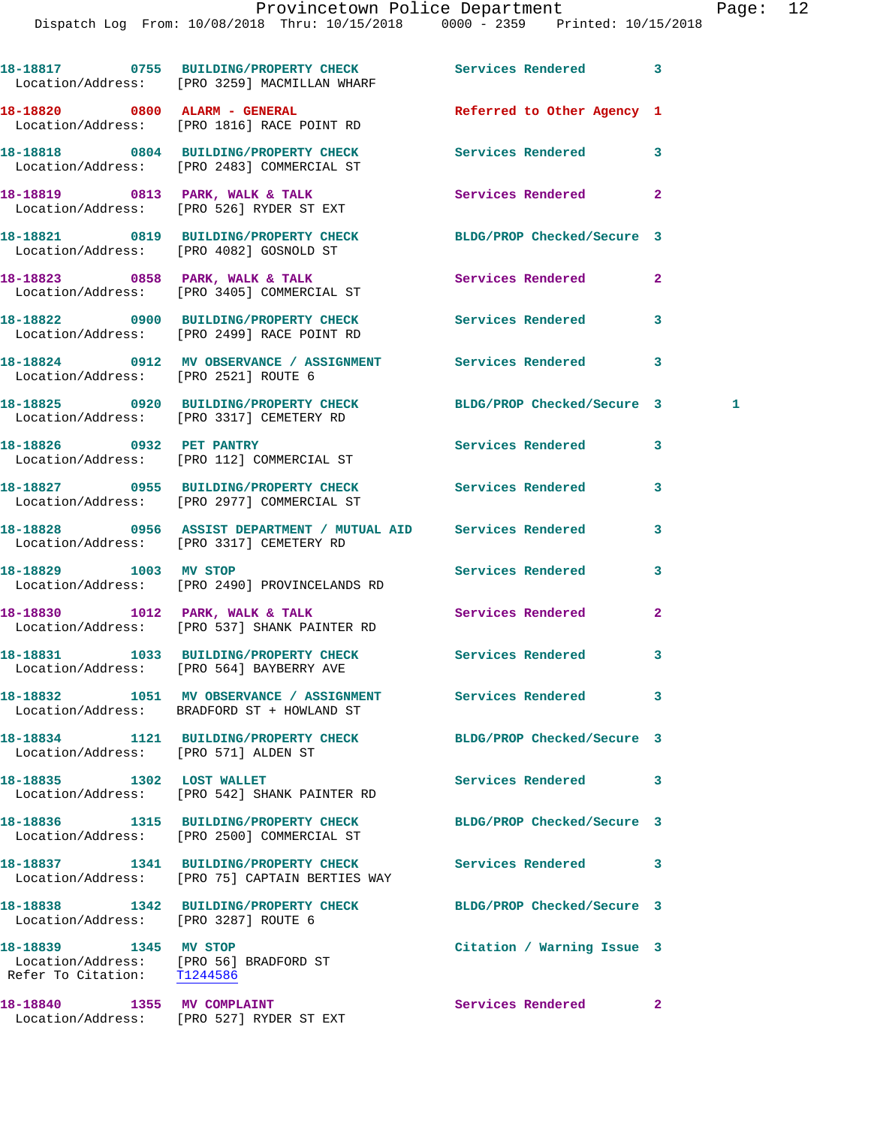|                                                                                                | 18-18817 0755 BUILDING/PROPERTY CHECK<br>Location/Address: [PRO 3259] MACMILLAN WHARF                      | Services Rendered          | 3            |
|------------------------------------------------------------------------------------------------|------------------------------------------------------------------------------------------------------------|----------------------------|--------------|
|                                                                                                | 18-18820 0800 ALARM - GENERAL<br>Location/Address: [PRO 1816] RACE POINT RD                                | Referred to Other Agency 1 |              |
|                                                                                                | 18-18818 0804 BUILDING/PROPERTY CHECK<br>Location/Address: [PRO 2483] COMMERCIAL ST                        | Services Rendered          | 3            |
|                                                                                                | 18-18819 0813 PARK, WALK & TALK<br>Location/Address: [PRO 526] RYDER ST EXT                                | Services Rendered          | $\mathbf{2}$ |
|                                                                                                | 18-18821 0819 BUILDING/PROPERTY CHECK<br>Location/Address: [PRO 4082] GOSNOLD ST                           | BLDG/PROP Checked/Secure 3 |              |
|                                                                                                | 18-18823 0858 PARK, WALK & TALK<br>Location/Address: [PRO 3405] COMMERCIAL ST                              | Services Rendered          | $\mathbf{2}$ |
|                                                                                                | 18-18822 0900 BUILDING/PROPERTY CHECK<br>Location/Address: [PRO 2499] RACE POINT RD                        | Services Rendered          | 3            |
| Location/Address: [PRO 2521] ROUTE 6                                                           | 18-18824 0912 MV OBSERVANCE / ASSIGNMENT Services Rendered                                                 |                            | 3            |
|                                                                                                | 18-18825 0920 BUILDING/PROPERTY CHECK<br>Location/Address: [PRO 3317] CEMETERY RD                          | BLDG/PROP Checked/Secure 3 | 1            |
|                                                                                                | 18-18826 0932 PET PANTRY<br>Location/Address: [PRO 112] COMMERCIAL ST                                      | <b>Services Rendered</b>   | 3            |
|                                                                                                | 18-18827 0955 BUILDING/PROPERTY CHECK Services Rendered<br>Location/Address: [PRO 2977] COMMERCIAL ST      |                            | 3            |
|                                                                                                | 18-18828 0956 ASSIST DEPARTMENT / MUTUAL AID Services Rendered<br>Location/Address: [PRO 3317] CEMETERY RD |                            | 3            |
| 18-18829 1003 MV STOP                                                                          | Location/Address: [PRO 2490] PROVINCELANDS RD                                                              | Services Rendered          | 3            |
|                                                                                                | 18-18830 1012 PARK, WALK & TALK<br>Location/Address: [PRO 537] SHANK PAINTER RD                            | Services Rendered          | $\mathbf{2}$ |
|                                                                                                | 18-18831 1033 BUILDING/PROPERTY CHECK<br>Location/Address: [PRO 564] BAYBERRY AVE                          | Services Rendered          | 3            |
|                                                                                                | Location/Address: BRADFORD ST + HOWLAND ST                                                                 | Services Rendered          | 3            |
| Location/Address: [PRO 571] ALDEN ST                                                           | 18-18834 1121 BUILDING/PROPERTY CHECK                                                                      | BLDG/PROP Checked/Secure 3 |              |
| 18-18835 1302 LOST WALLET                                                                      | Location/Address: [PRO 542] SHANK PAINTER RD                                                               | Services Rendered          | 3            |
|                                                                                                | 18-18836 1315 BUILDING/PROPERTY CHECK<br>Location/Address: [PRO 2500] COMMERCIAL ST                        | BLDG/PROP Checked/Secure 3 |              |
|                                                                                                | 18-18837 1341 BUILDING/PROPERTY CHECK<br>Location/Address: [PRO 75] CAPTAIN BERTIES WAY                    | Services Rendered          | 3            |
| Location/Address: [PRO 3287] ROUTE 6                                                           | 18-18838 1342 BUILDING/PROPERTY CHECK                                                                      | BLDG/PROP Checked/Secure 3 |              |
| 18-18839 1345 MV STOP<br>Location/Address: [PRO 56] BRADFORD ST<br>Refer To Citation: 11244586 |                                                                                                            | Citation / Warning Issue 3 |              |
| 18-18840 1355 MV COMPLAINT                                                                     |                                                                                                            | Services Rendered          | $\mathbf{2}$ |

Location/Address: [PRO 527] RYDER ST EXT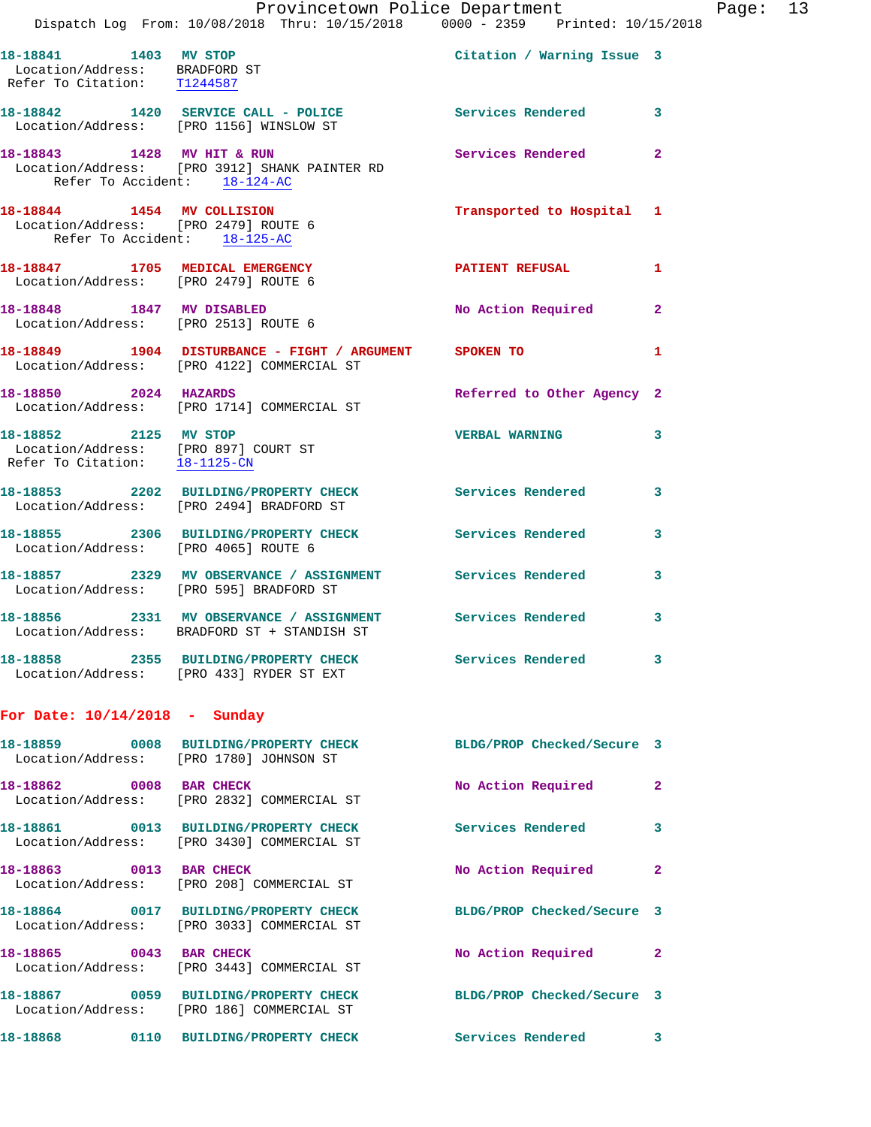|                                                                                       | Provincetown Police Department<br>Dispatch Log From: 10/08/2018 Thru: 10/15/2018 0000 - 2359 Printed: 10/15/2018 |                            |              |
|---------------------------------------------------------------------------------------|------------------------------------------------------------------------------------------------------------------|----------------------------|--------------|
| 18-18841 1403 MV STOP<br>Location/Address: BRADFORD ST<br>Refer To Citation: T1244587 |                                                                                                                  | Citation / Warning Issue 3 |              |
|                                                                                       | 18-18842 1420 SERVICE CALL - POLICE<br>Location/Address: [PRO 1156] WINSLOW ST                                   | Services Rendered          | 3            |
|                                                                                       | 18-18843 1428 MV HIT & RUN<br>Location/Address: [PRO 3912] SHANK PAINTER RD<br>Refer To Accident: 18-124-AC      | <b>Services Rendered</b>   | $\mathbf{2}$ |
| Location/Address: [PRO 2479] ROUTE 6<br>Refer To Accident: 18-125-AC                  | 18-18844 1454 MV COLLISION                                                                                       | Transported to Hospital    | 1            |
| 18-18847 1705 MEDICAL EMERGENCY<br>Location/Address: [PRO 2479] ROUTE 6               |                                                                                                                  | <b>PATIENT REFUSAL</b>     | 1            |
| 18-18848 1847 MV DISABLED<br>Location/Address: [PRO 2513] ROUTE 6                     |                                                                                                                  | No Action Required         | $\mathbf{2}$ |
|                                                                                       | 18-18849 1904 DISTURBANCE - FIGHT / ARGUMENT SPOKEN TO<br>Location/Address: [PRO 4122] COMMERCIAL ST             |                            | 1            |
| 18-18850 2024 HAZARDS                                                                 | Location/Address: [PRO 1714] COMMERCIAL ST                                                                       | Referred to Other Agency 2 |              |
| 18-18852 2125 MV STOP<br>Refer To Citation: 18-1125-CN                                | Location/Address: [PRO 897] COURT ST                                                                             | <b>VERBAL WARNING</b>      | 3            |
|                                                                                       | 18-18853 2202 BUILDING/PROPERTY CHECK Services Rendered<br>Location/Address: [PRO 2494] BRADFORD ST              |                            | 3            |
| Location/Address: [PRO 4065] ROUTE 6                                                  | 18-18855 2306 BUILDING/PROPERTY CHECK Services Rendered                                                          |                            | 3            |
|                                                                                       | 18-18857 2329 MV OBSERVANCE / ASSIGNMENT Services Rendered<br>Location/Address: [PRO 595] BRADFORD ST            |                            | 3            |
|                                                                                       | 18-18856 2331 MV OBSERVANCE / ASSIGNMENT<br>Location/Address: BRADFORD ST + STANDISH ST                          | Services Rendered          | 3            |
|                                                                                       | 18-18858 2355 BUILDING/PROPERTY CHECK<br>Location/Address: [PRO 433] RYDER ST EXT                                | Services Rendered          | 3            |
| For Date: $10/14/2018$ - Sunday                                                       |                                                                                                                  |                            |              |
|                                                                                       | 18-18859 0008 BUILDING/PROPERTY CHECK BLDG/PROP Checked/Secure 3<br>Location/Address: [PRO 1780] JOHNSON ST      |                            |              |
| 18-18862 0008 BAR CHECK                                                               | Location/Address: [PRO 2832] COMMERCIAL ST                                                                       | No Action Required         | 2            |
|                                                                                       | 18-18861 0013 BUILDING/PROPERTY CHECK<br>Location/Address: [PRO 3430] COMMERCIAL ST                              | <b>Services Rendered</b>   | 3            |
| 18-18863 0013 BAR CHECK                                                               | Location/Address: [PRO 208] COMMERCIAL ST                                                                        | No Action Required         | $\mathbf{2}$ |
|                                                                                       | 18-18864 0017 BUILDING/PROPERTY CHECK<br>Location/Address: [PRO 3033] COMMERCIAL ST                              | BLDG/PROP Checked/Secure 3 |              |
| 18-18865 0043 BAR CHECK                                                               | Location/Address: [PRO 3443] COMMERCIAL ST                                                                       | No Action Required         | $\mathbf{2}$ |
|                                                                                       | 18-18867 0059 BUILDING/PROPERTY CHECK BLDG/PROP Checked/Secure 3<br>Location/Address: [PRO 186] COMMERCIAL ST    |                            |              |
|                                                                                       | 18-18868   0110 BUILDING/PROPERTY CHECK   Services Rendered                                                      |                            | 3            |

Page: 13<br>8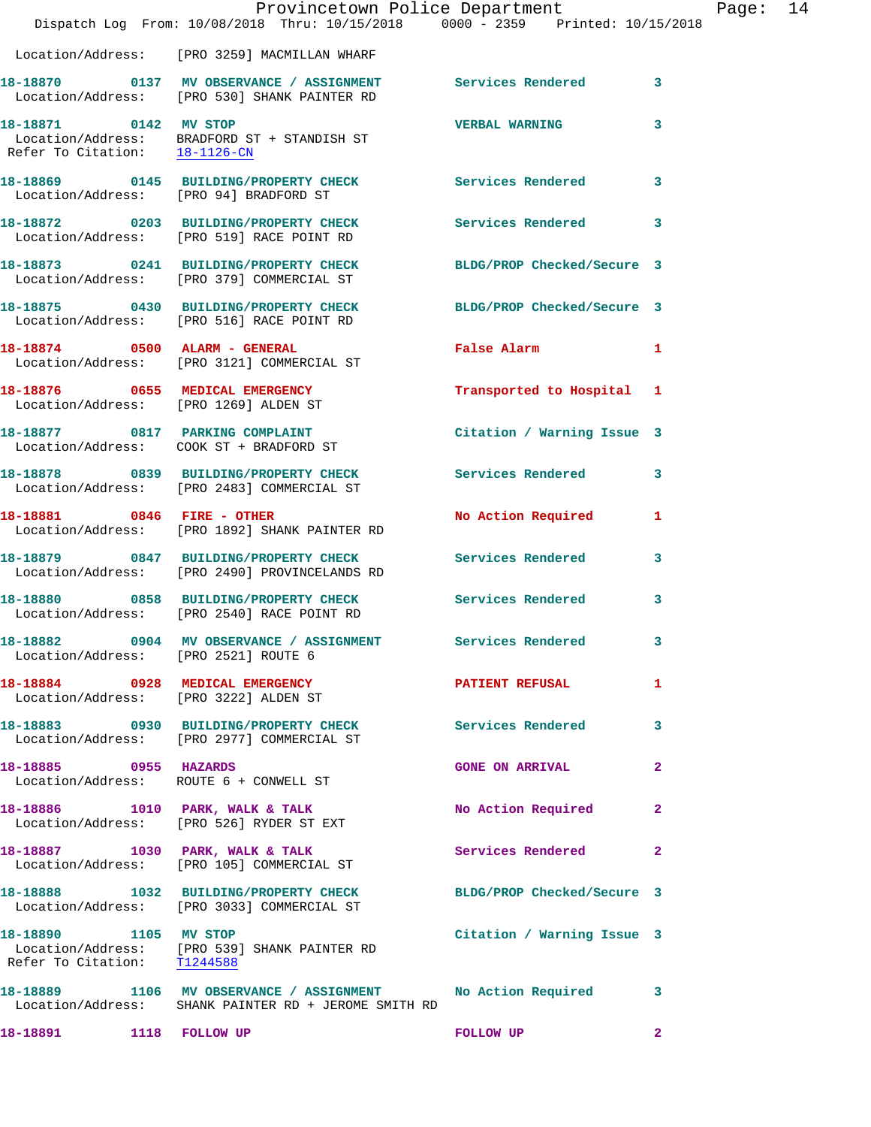|                                                        | Provincetown Police Department<br>Dispatch Log From: 10/08/2018 Thru: 10/15/2018 0000 - 2359 Printed: 10/15/2018          |                            |              |
|--------------------------------------------------------|---------------------------------------------------------------------------------------------------------------------------|----------------------------|--------------|
|                                                        | Location/Address: [PRO 3259] MACMILLAN WHARF                                                                              |                            |              |
|                                                        | 18-18870      0137   MV OBSERVANCE / ASSIGNMENT       Services Rendered<br>Location/Address:   [PRO 530] SHANK PAINTER RD |                            | 3            |
| 18-18871 0142 MV STOP<br>Refer To Citation: 18-1126-CN | Location/Address: BRADFORD ST + STANDISH ST                                                                               | <b>VERBAL WARNING</b>      | 3            |
| Location/Address: [PRO 94] BRADFORD ST                 | 18-18869 0145 BUILDING/PROPERTY CHECK                                                                                     | Services Rendered          | 3            |
|                                                        | 18-18872 0203 BUILDING/PROPERTY CHECK<br>Location/Address: [PRO 519] RACE POINT RD                                        | <b>Services Rendered</b>   | 3            |
|                                                        | 18-18873 0241 BUILDING/PROPERTY CHECK BLDG/PROP Checked/Secure 3<br>Location/Address: [PRO 379] COMMERCIAL ST             |                            |              |
|                                                        | 18-18875 0430 BUILDING/PROPERTY CHECK<br>Location/Address: [PRO 516] RACE POINT RD                                        | BLDG/PROP Checked/Secure 3 |              |
| 18-18874 0500 ALARM - GENERAL                          | Location/Address: [PRO 3121] COMMERCIAL ST                                                                                | <b>False Alarm</b>         | 1            |
| Location/Address: [PRO 1269] ALDEN ST                  | 18-18876 0655 MEDICAL EMERGENCY                                                                                           | Transported to Hospital    | 1            |
|                                                        | 18-18877 0817 PARKING COMPLAINT<br>Location/Address: COOK ST + BRADFORD ST                                                | Citation / Warning Issue 3 |              |
|                                                        |                                                                                                                           | <b>Services Rendered</b>   | 3            |
| 18-18881 0846 FIRE - OTHER                             | Location/Address: [PRO 1892] SHANK PAINTER RD                                                                             | No Action Required         | 1            |
|                                                        | 18-18879 0847 BUILDING/PROPERTY CHECK<br>Location/Address: [PRO 2490] PROVINCELANDS RD                                    | <b>Services Rendered</b>   | 3            |
|                                                        | 18-18880 0858 BUILDING/PROPERTY CHECK Services Rendered<br>Location/Address: [PRO 2540] RACE POINT RD                     |                            | 3            |
| Location/Address: [PRO 2521] ROUTE 6                   | 18-18882 0904 MV OBSERVANCE / ASSIGNMENT                                                                                  | <b>Services Rendered</b>   | 3            |
|                                                        | 18-18884 0928 MEDICAL EMERGENCY<br>Location/Address: [PRO 3222] ALDEN ST                                                  | <b>PATIENT REFUSAL</b>     | 1            |
|                                                        | 18-18883 0930 BUILDING/PROPERTY CHECK Services Rendered<br>Location/Address: [PRO 2977] COMMERCIAL ST                     |                            | 3            |
| 18-18885 0955 HAZARDS                                  | Location/Address: ROUTE 6 + CONWELL ST                                                                                    | <b>GONE ON ARRIVAL</b>     | $\mathbf{2}$ |
|                                                        | 18-18886 1010 PARK, WALK & TALK<br>Location/Address: [PRO 526] RYDER ST EXT                                               | No Action Required         | $\mathbf{2}$ |
|                                                        | 18-18887 1030 PARK, WALK & TALK<br>Location/Address: [PRO 105] COMMERCIAL ST                                              | Services Rendered          | $\mathbf{2}$ |
|                                                        | 18-18888 1032 BUILDING/PROPERTY CHECK<br>Location/Address: [PRO 3033] COMMERCIAL ST                                       | BLDG/PROP Checked/Secure 3 |              |
| 18-18890 1105 MV STOP<br>Refer To Citation: T1244588   | Location/Address: [PRO 539] SHANK PAINTER RD                                                                              | Citation / Warning Issue 3 |              |
|                                                        | 18-18889 1106 MV OBSERVANCE / ASSIGNMENT No Action Required<br>Location/Address: SHANK PAINTER RD + JEROME SMITH RD       |                            | 3            |
| 18-18891 1118 FOLLOW UP                                |                                                                                                                           | <b>FOLLOW UP</b>           | $\mathbf{2}$ |

Page: 14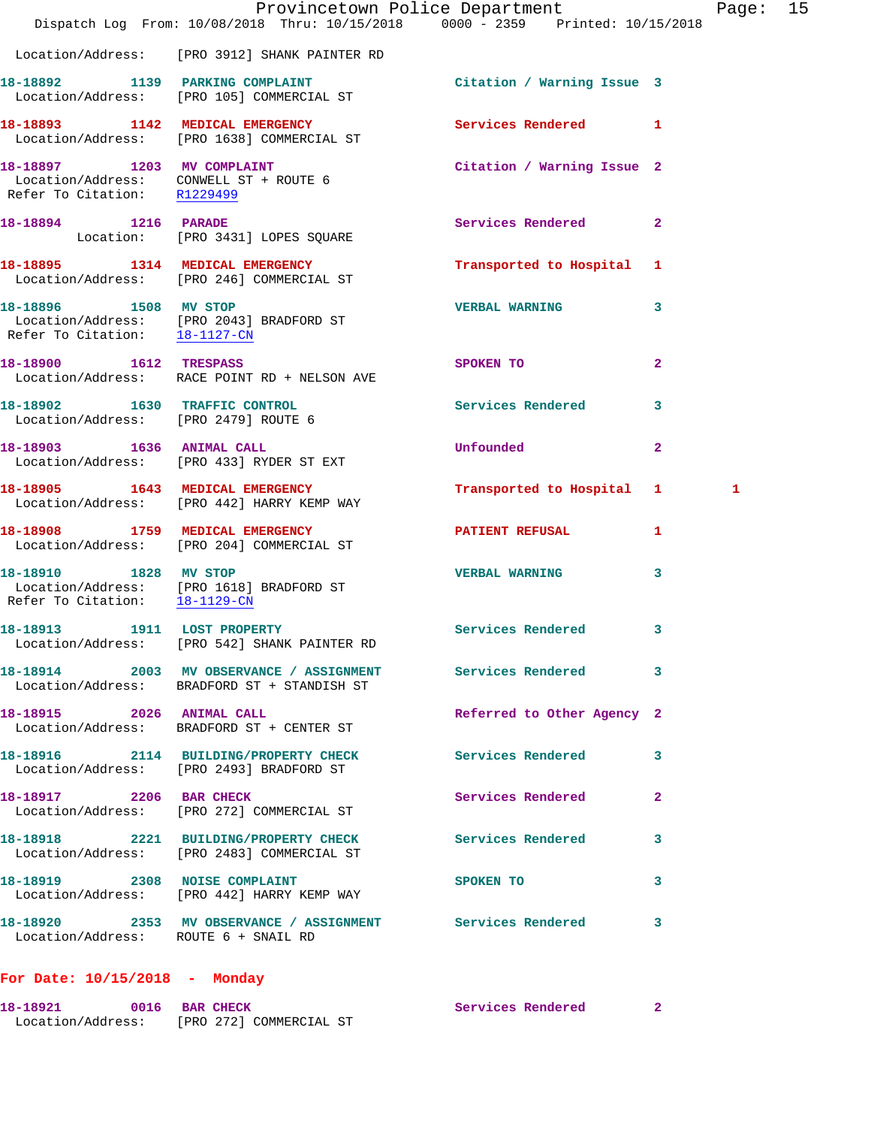|                                      | Dispatch Log From: 10/08/2018 Thru: 10/15/2018 0000 - 2359 Printed: 10/15/2018                            | Provincetown Police Department   |                | Page: 15 |  |
|--------------------------------------|-----------------------------------------------------------------------------------------------------------|----------------------------------|----------------|----------|--|
|                                      | Location/Address: [PRO 3912] SHANK PAINTER RD                                                             |                                  |                |          |  |
|                                      | 18-18892 1139 PARKING COMPLAINT<br>Location/Address: [PRO 105] COMMERCIAL ST                              | Citation / Warning Issue 3       |                |          |  |
|                                      | 18-18893 1142 MEDICAL EMERGENCY<br>Location/Address: [PRO 1638] COMMERCIAL ST                             | Services Rendered 1              |                |          |  |
| Refer To Citation: R1229499          | 18-18897 1203 MV COMPLAINT<br>Location/Address: CONWELL ST + ROUTE 6                                      | Citation / Warning Issue 2       |                |          |  |
| 18-18894 1216 PARADE                 | Location: [PRO 3431] LOPES SQUARE                                                                         | Services Rendered 2              |                |          |  |
|                                      | 18-18895 1314 MEDICAL EMERGENCY<br>Location/Address: [PRO 246] COMMERCIAL ST                              | Transported to Hospital 1        |                |          |  |
| Refer To Citation: 18-1127-CN        | 18-18896 1508 MV STOP<br>Location/Address: [PRO 2043] BRADFORD ST                                         | <b>VERBAL WARNING</b>            | 3              |          |  |
| 18-18900 1612 TRESPASS               | Location/Address: RACE POINT RD + NELSON AVE                                                              | SPOKEN TO AND TO A THE SPOKEN TO | $\mathbf{2}$   |          |  |
| Location/Address: [PRO 2479] ROUTE 6 | 18-18902 1630 TRAFFIC CONTROL                                                                             | <b>Services Rendered</b>         | 3              |          |  |
| 18-18903 1636 ANIMAL CALL            | Location/Address: [PRO 433] RYDER ST EXT                                                                  | <b>Unfounded</b>                 | $\overline{2}$ |          |  |
|                                      | 18-18905 1643 MEDICAL EMERGENCY<br>Location/Address: [PRO 442] HARRY KEMP WAY                             | Transported to Hospital 1        |                | 1        |  |
|                                      | 18-18908 1759 MEDICAL EMERGENCY<br>Location/Address: [PRO 204] COMMERCIAL ST                              | <b>PATIENT REFUSAL</b>           | 1              |          |  |
| Refer To Citation: 18-1129-CN        | 18-18910 1828 MV STOP<br>Location/Address: [PRO 1618] BRADFORD ST                                         | <b>VERBAL WARNING</b>            | 3              |          |  |
|                                      | 18-18913 1911 LOST PROPERTY<br>Location/Address: [PRO 542] SHANK PAINTER RD                               | Services Rendered 3              |                |          |  |
|                                      | 18-18914 2003 MV OBSERVANCE / ASSIGNMENT Services Rendered<br>Location/Address: BRADFORD ST + STANDISH ST |                                  | 3              |          |  |
| 18-18915 2026 ANIMAL CALL            | Location/Address: BRADFORD ST + CENTER ST                                                                 | Referred to Other Agency 2       |                |          |  |
|                                      | 18-18916 2114 BUILDING/PROPERTY CHECK Services Rendered<br>Location/Address: [PRO 2493] BRADFORD ST       |                                  | 3              |          |  |
| 18-18917 2206 BAR CHECK              | Location/Address: [PRO 272] COMMERCIAL ST                                                                 | Services Rendered                | $\mathbf{2}$   |          |  |
|                                      | 18-18918 2221 BUILDING/PROPERTY CHECK Services Rendered<br>Location/Address: [PRO 2483] COMMERCIAL ST     |                                  | 3              |          |  |
|                                      | 18-18919 2308 NOISE COMPLAINT<br>Location/Address: [PRO 442] HARRY KEMP WAY                               | SPOKEN TO                        | 3              |          |  |
| Location/Address: ROUTE 6 + SNAIL RD | 18-18920 2353 MV OBSERVANCE / ASSIGNMENT Services Rendered                                                |                                  | 3              |          |  |
| For Date: $10/15/2018$ - Monday      |                                                                                                           |                                  |                |          |  |

**18-18921 0016 BAR CHECK Services Rendered 2**  Location/Address: [PRO 272] COMMERCIAL ST